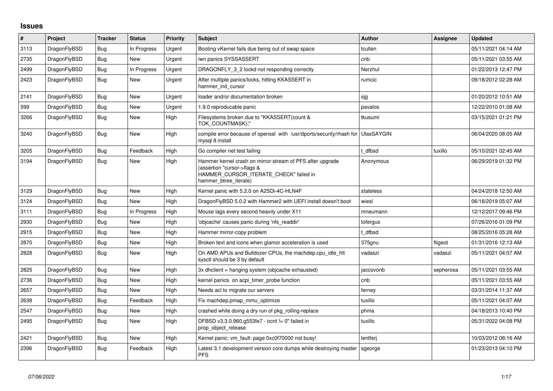## **Issues**

| $\vert$ # | Project      | <b>Tracker</b> | <b>Status</b> | Priority | <b>Subject</b>                                                                                                                                              | <b>Author</b>     | Assignee  | <b>Updated</b>      |
|-----------|--------------|----------------|---------------|----------|-------------------------------------------------------------------------------------------------------------------------------------------------------------|-------------------|-----------|---------------------|
| 3113      | DragonFlyBSD | Bug            | In Progress   | Urgent   | Booting vKernel fails due being out of swap space                                                                                                           | tcullen           |           | 05/11/2021 04:14 AM |
| 2735      | DragonFlyBSD | Bug            | New           | Urgent   | iwn panics SYSSASSERT                                                                                                                                       | cnb               |           | 05/11/2021 03:55 AM |
| 2499      | DragonFlyBSD | Bug            | In Progress   | Urgent   | DRAGONFLY 3 2 lockd not responding correctly                                                                                                                | Nerzhul           |           | 01/22/2013 12:47 PM |
| 2423      | DragonFlyBSD | Bug            | New           | Urgent   | After multiple panics/locks, hitting KKASSERT in<br>hammer init cursor                                                                                      | rumcic            |           | 09/18/2012 02:28 AM |
| 2141      | DragonFlyBSD | <b>Bug</b>     | <b>New</b>    | Urgent   | loader and/or documentation broken                                                                                                                          | sjg               |           | 01/20/2012 10:51 AM |
| 599       | DragonFlyBSD | Bug            | New           | Urgent   | 1.9.0 reproducable panic                                                                                                                                    | pavalos           |           | 12/22/2010 01:08 AM |
| 3266      | DragonFlyBSD | <b>Bug</b>     | New           | High     | Filesystems broken due to "KKASSERT(count &<br>TOK COUNTMASK);"                                                                                             | tkusumi           |           | 03/15/2021 01:21 PM |
| 3240      | DragonFlyBSD | <b>Bug</b>     | <b>New</b>    | High     | compile error because of openssl with /usr/dports/security/rhash for<br>mysql 8 install                                                                     | <b>UlasSAYGIN</b> |           | 06/04/2020 08:05 AM |
| 3205      | DragonFlyBSD | <b>Bug</b>     | Feedback      | High     | Go compiler net test failing                                                                                                                                | dfbsd             | tuxillo   | 05/10/2021 02:45 AM |
| 3194      | DragonFlyBSD | Bug            | New           | High     | Hammer kernel crash on mirror-stream of PFS after upgrade<br>(assertion "cursor->flags &<br>HAMMER_CURSOR_ITERATE_CHECK" failed in<br>hammer btree iterate) | Anonymous         |           | 06/29/2019 01:32 PM |
| 3129      | DragonFlyBSD | Bug            | New           | High     | Kernel panic with 5.2.0 on A2SDi-4C-HLN4F                                                                                                                   | stateless         |           | 04/24/2018 12:50 AM |
| 3124      | DragonFlyBSD | Bug            | <b>New</b>    | High     | DragonFlyBSD 5.0.2 with Hammer2 with UEFI install doesn't boot                                                                                              | wiesl             |           | 06/18/2019 05:07 AM |
| 3111      | DragonFlyBSD | Bug            | In Progress   | High     | Mouse lags every second heavily under X11                                                                                                                   | mneumann          |           | 12/12/2017 09:46 PM |
| 2930      | DragonFlyBSD | <b>Bug</b>     | <b>New</b>    | High     | 'objcache' causes panic during 'nfs_readdir'                                                                                                                | tofergus          |           | 07/26/2016 01:09 PM |
| 2915      | DragonFlyBSD | Bug            | New           | High     | Hammer mirror-copy problem                                                                                                                                  | t dfbsd           |           | 08/25/2016 05:28 AM |
| 2870      | DragonFlyBSD | Bug            | New           | High     | Broken text and icons when glamor acceleration is used                                                                                                      | 375gnu            | ftigeot   | 01/31/2016 12:13 AM |
| 2828      | DragonFlyBSD | Bug            | New           | High     | On AMD APUs and Bulldozer CPUs, the machdep.cpu_idle_hlt<br>sysctl should be 3 by default                                                                   | vadaszi           | vadaszi   | 05/11/2021 04:07 AM |
| 2825      | DragonFlyBSD | <b>Bug</b>     | <b>New</b>    | High     | 3x dhclient = hanging system (objcache exhausted)                                                                                                           | jaccovonb         | sepherosa | 05/11/2021 03:55 AM |
| 2736      | DragonFlyBSD | <b>Bug</b>     | New           | High     | kernel panics on acpi timer probe function                                                                                                                  | cnb               |           | 05/11/2021 03:55 AM |
| 2657      | DragonFlyBSD | Bug            | New           | High     | Needs acl to migrate our servers                                                                                                                            | ferney            |           | 03/31/2014 11:37 AM |
| 2638      | DragonFlyBSD | Bug            | Feedback      | High     | Fix machdep.pmap mmu optimize                                                                                                                               | tuxillo           |           | 05/11/2021 04:07 AM |
| 2547      | DragonFlyBSD | Bug            | New           | High     | crashed while doing a dry run of pkg_rolling-replace                                                                                                        | phma              |           | 04/18/2013 10:40 PM |
| 2495      | DragonFlyBSD | <b>Bug</b>     | New           | High     | DFBSD v3.3.0.960.g553fe7 - ocnt != 0" failed in<br>prop_object_release                                                                                      | tuxillo           |           | 05/31/2022 04:08 PM |
| 2421      | DragonFlyBSD | Bug            | New           | High     | Kernel panic: vm fault: page 0xc0f70000 not busy!                                                                                                           | lentferj          |           | 10/03/2012 08:16 AM |
| 2396      | DragonFlyBSD | Bug            | Feedback      | High     | Latest 3.1 development version core dumps while destroying master<br><b>PFS</b>                                                                             | sgeorge           |           | 01/23/2013 04:10 PM |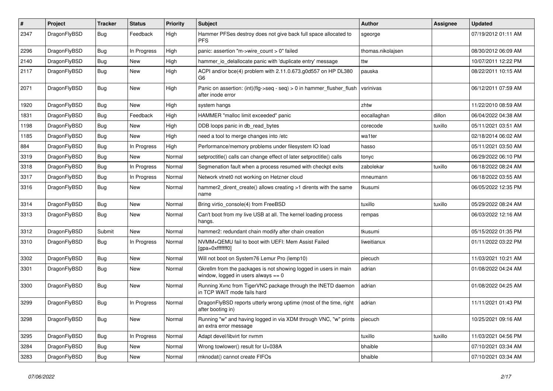| $\sharp$ | Project      | <b>Tracker</b> | <b>Status</b> | <b>Priority</b> | Subject                                                                                                   | <b>Author</b>     | Assignee | <b>Updated</b>      |
|----------|--------------|----------------|---------------|-----------------|-----------------------------------------------------------------------------------------------------------|-------------------|----------|---------------------|
| 2347     | DragonFlyBSD | Bug            | Feedback      | High            | Hammer PFSes destroy does not give back full space allocated to<br><b>PFS</b>                             | sgeorge           |          | 07/19/2012 01:11 AM |
| 2296     | DragonFlyBSD | Bug            | In Progress   | High            | panic: assertion "m->wire count > 0" failed                                                               | thomas.nikolajsen |          | 08/30/2012 06:09 AM |
| 2140     | DragonFlyBSD | <b>Bug</b>     | New           | High            | hammer io delallocate panic with 'duplicate entry' message                                                | ttw               |          | 10/07/2011 12:22 PM |
| 2117     | DragonFlyBSD | Bug            | New           | High            | ACPI and/or bce(4) problem with 2.11.0.673.g0d557 on HP DL380<br>G <sub>6</sub>                           | pauska            |          | 08/22/2011 10:15 AM |
| 2071     | DragonFlyBSD | Bug            | New           | High            | Panic on assertion: $(int)(flag->seq - seq) > 0$ in hammer flusher flush<br>after inode error             | vsrinivas         |          | 06/12/2011 07:59 AM |
| 1920     | DragonFlyBSD | Bug            | New           | High            | system hangs                                                                                              | zhtw              |          | 11/22/2010 08:59 AM |
| 1831     | DragonFlyBSD | Bug            | Feedback      | High            | HAMMER "malloc limit exceeded" panic                                                                      | eocallaghan       | dillon   | 06/04/2022 04:38 AM |
| 1198     | DragonFlyBSD | Bug            | New           | High            | DDB loops panic in db read bytes                                                                          | corecode          | tuxillo  | 05/11/2021 03:51 AM |
| 1185     | DragonFlyBSD | Bug            | New           | High            | need a tool to merge changes into /etc                                                                    | wa1ter            |          | 02/18/2014 06:02 AM |
| 884      | DragonFlyBSD | Bug            | In Progress   | High            | Performance/memory problems under filesystem IO load                                                      | hasso             |          | 05/11/2021 03:50 AM |
| 3319     | DragonFlyBSD | Bug            | New           | Normal          | setproctitle() calls can change effect of later setproctitle() calls                                      | tonyc             |          | 06/29/2022 06:10 PM |
| 3318     | DragonFlyBSD | Bug            | In Progress   | Normal          | Segmenation fault when a process resumed with checkpt exits                                               | zabolekar         | tuxillo  | 06/18/2022 08:24 AM |
| 3317     | DragonFlyBSD | Bug            | In Progress   | Normal          | Network vtnet0 not working on Hetzner cloud                                                               | mneumann          |          | 06/18/2022 03:55 AM |
| 3316     | DragonFlyBSD | Bug            | New           | Normal          | hammer2_dirent_create() allows creating >1 dirents with the same<br>name                                  | tkusumi           |          | 06/05/2022 12:35 PM |
| 3314     | DragonFlyBSD | Bug            | New           | Normal          | Bring virtio_console(4) from FreeBSD                                                                      | tuxillo           | tuxillo  | 05/29/2022 08:24 AM |
| 3313     | DragonFlyBSD | Bug            | New           | Normal          | Can't boot from my live USB at all. The kernel loading process<br>hangs.                                  | rempas            |          | 06/03/2022 12:16 AM |
| 3312     | DragonFlyBSD | Submit         | New           | Normal          | hammer2: redundant chain modify after chain creation                                                      | tkusumi           |          | 05/15/2022 01:35 PM |
| 3310     | DragonFlyBSD | Bug            | In Progress   | Normal          | NVMM+QEMU fail to boot with UEFI: Mem Assist Failed<br>[gpa=0xfffffff0]                                   | liweitianux       |          | 01/11/2022 03:22 PM |
| 3302     | DragonFlyBSD | Bug            | <b>New</b>    | Normal          | Will not boot on System76 Lemur Pro (lemp10)                                                              | piecuch           |          | 11/03/2021 10:21 AM |
| 3301     | DragonFlyBSD | Bug            | New           | Normal          | Gkrellm from the packages is not showing logged in users in main<br>window, logged in users always $== 0$ | adrian            |          | 01/08/2022 04:24 AM |
| 3300     | DragonFlyBSD | Bug            | New           | Normal          | Running Xvnc from TigerVNC package through the INETD daemon<br>in TCP WAIT mode fails hard                | adrian            |          | 01/08/2022 04:25 AM |
| 3299     | DragonFlyBSD | Bug            | In Progress   | Normal          | DragonFlyBSD reports utterly wrong uptime (most of the time, right<br>after booting in)                   | adrian            |          | 11/11/2021 01:43 PM |
| 3298     | DragonFlyBSD | <b>Bug</b>     | New           | Normal          | Running "w" and having logged in via XDM through VNC, "w" prints<br>an extra error message                | piecuch           |          | 10/25/2021 09:16 AM |
| 3295     | DragonFlyBSD | <b>Bug</b>     | In Progress   | Normal          | Adapt devel/libvirt for nvmm                                                                              | tuxillo           | tuxillo  | 11/03/2021 04:56 PM |
| 3284     | DragonFlyBSD | <b>Bug</b>     | New           | Normal          | Wrong towlower() result for U+038A                                                                        | bhaible           |          | 07/10/2021 03:34 AM |
| 3283     | DragonFlyBSD | <b>Bug</b>     | New           | Normal          | mknodat() cannot create FIFOs                                                                             | bhaible           |          | 07/10/2021 03:34 AM |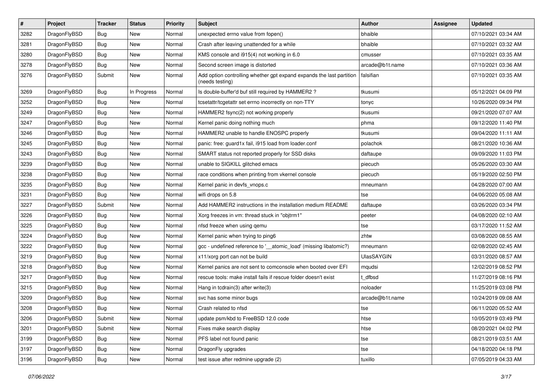| $\sharp$ | Project      | <b>Tracker</b> | <b>Status</b> | <b>Priority</b> | Subject                                                                                 | <b>Author</b>     | Assignee | <b>Updated</b>      |
|----------|--------------|----------------|---------------|-----------------|-----------------------------------------------------------------------------------------|-------------------|----------|---------------------|
| 3282     | DragonFlyBSD | Bug            | New           | Normal          | unexpected errno value from fopen()                                                     | bhaible           |          | 07/10/2021 03:34 AM |
| 3281     | DragonFlyBSD | <b>Bug</b>     | <b>New</b>    | Normal          | Crash after leaving unattended for a while                                              | bhaible           |          | 07/10/2021 03:32 AM |
| 3280     | DragonFlyBSD | <b>Bug</b>     | New           | Normal          | KMS console and i915(4) not working in 6.0                                              | cmusser           |          | 07/10/2021 03:35 AM |
| 3278     | DragonFlyBSD | Bug            | New           | Normal          | Second screen image is distorted                                                        | arcade@b1t.name   |          | 07/10/2021 03:36 AM |
| 3276     | DragonFlyBSD | Submit         | <b>New</b>    | Normal          | Add option controlling whether gpt expand expands the last partition<br>(needs testing) | falsifian         |          | 07/10/2021 03:35 AM |
| 3269     | DragonFlyBSD | Bug            | In Progress   | Normal          | Is double-buffer'd buf still required by HAMMER2 ?                                      | tkusumi           |          | 05/12/2021 04:09 PM |
| 3252     | DragonFlyBSD | <b>Bug</b>     | New           | Normal          | tcsetattr/tcgetattr set errno incorrectly on non-TTY                                    | tonyc             |          | 10/26/2020 09:34 PM |
| 3249     | DragonFlyBSD | <b>Bug</b>     | New           | Normal          | HAMMER2 fsync(2) not working properly                                                   | tkusumi           |          | 09/21/2020 07:07 AM |
| 3247     | DragonFlyBSD | Bug            | <b>New</b>    | Normal          | Kernel panic doing nothing much                                                         | phma              |          | 09/12/2020 11:40 PM |
| 3246     | DragonFlyBSD | <b>Bug</b>     | <b>New</b>    | Normal          | HAMMER2 unable to handle ENOSPC properly                                                | tkusumi           |          | 09/04/2020 11:11 AM |
| 3245     | DragonFlyBSD | Bug            | <b>New</b>    | Normal          | panic: free: guard1x fail, i915 load from loader.conf                                   | polachok          |          | 08/21/2020 10:36 AM |
| 3243     | DragonFlyBSD | <b>Bug</b>     | <b>New</b>    | Normal          | SMART status not reported properly for SSD disks                                        | daftaupe          |          | 09/09/2020 11:03 PM |
| 3239     | DragonFlyBSD | <b>Bug</b>     | New           | Normal          | unable to SIGKILL glitched emacs                                                        | piecuch           |          | 05/26/2020 03:30 AM |
| 3238     | DragonFlyBSD | <b>Bug</b>     | <b>New</b>    | Normal          | race conditions when printing from vkernel console                                      | piecuch           |          | 05/19/2020 02:50 PM |
| 3235     | DragonFlyBSD | <b>Bug</b>     | New           | Normal          | Kernel panic in devfs_vnops.c                                                           | mneumann          |          | 04/28/2020 07:00 AM |
| 3231     | DragonFlyBSD | <b>Bug</b>     | <b>New</b>    | Normal          | wifi drops on 5.8                                                                       | tse               |          | 04/06/2020 05:08 AM |
| 3227     | DragonFlyBSD | Submit         | New           | Normal          | Add HAMMER2 instructions in the installation medium README                              | daftaupe          |          | 03/26/2020 03:34 PM |
| 3226     | DragonFlyBSD | <b>Bug</b>     | New           | Normal          | Xorg freezes in vm: thread stuck in "objtrm1"                                           | peeter            |          | 04/08/2020 02:10 AM |
| 3225     | DragonFlyBSD | <b>Bug</b>     | <b>New</b>    | Normal          | nfsd freeze when using qemu                                                             | tse               |          | 03/17/2020 11:52 AM |
| 3224     | DragonFlyBSD | <b>Bug</b>     | <b>New</b>    | Normal          | Kernel panic when trying to ping6                                                       | zhtw              |          | 03/08/2020 08:55 AM |
| 3222     | DragonFlyBSD | <b>Bug</b>     | New           | Normal          | gcc - undefined reference to '__atomic_load' (missing libatomic?)                       | mneumann          |          | 02/08/2020 02:45 AM |
| 3219     | DragonFlyBSD | <b>Bug</b>     | <b>New</b>    | Normal          | x11/xorg port can not be build                                                          | <b>UlasSAYGIN</b> |          | 03/31/2020 08:57 AM |
| 3218     | DragonFlyBSD | <b>Bug</b>     | <b>New</b>    | Normal          | Kernel panics are not sent to comconsole when booted over EFI                           | mqudsi            |          | 12/02/2019 08:52 PM |
| 3217     | DragonFlyBSD | <b>Bug</b>     | New           | Normal          | rescue tools: make install fails if rescue folder doesn't exist                         | t dfbsd           |          | 11/27/2019 08:16 PM |
| 3215     | DragonFlyBSD | <b>Bug</b>     | New           | Normal          | Hang in tcdrain(3) after write(3)                                                       | noloader          |          | 11/25/2019 03:08 PM |
| 3209     | DragonFlyBSD | <b>Bug</b>     | <b>New</b>    | Normal          | svc has some minor bugs                                                                 | arcade@b1t.name   |          | 10/24/2019 09:08 AM |
| 3208     | DragonFlyBSD | <b>Bug</b>     | New           | Normal          | Crash related to nfsd                                                                   | tse               |          | 06/11/2020 05:52 AM |
| 3206     | DragonFlyBSD | Submit         | New           | Normal          | update psm/kbd to FreeBSD 12.0 code                                                     | htse              |          | 10/05/2019 03:49 PM |
| 3201     | DragonFlyBSD | Submit         | <b>New</b>    | Normal          | Fixes make search display                                                               | htse              |          | 08/20/2021 04:02 PM |
| 3199     | DragonFlyBSD | <b>Bug</b>     | New           | Normal          | PFS label not found panic                                                               | tse               |          | 08/21/2019 03:51 AM |
| 3197     | DragonFlyBSD | <b>Bug</b>     | New           | Normal          | DragonFly upgrades                                                                      | tse               |          | 04/18/2020 04:18 PM |
| 3196     | DragonFlyBSD | <b>Bug</b>     | New           | Normal          | test issue after redmine upgrade (2)                                                    | tuxillo           |          | 07/05/2019 04:33 AM |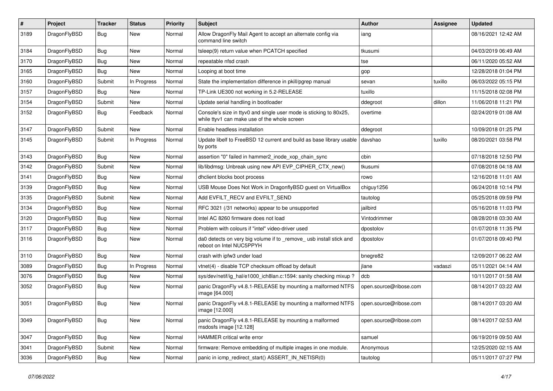| ∦    | Project      | <b>Tracker</b> | <b>Status</b> | <b>Priority</b> | Subject                                                                                                            | Author                 | <b>Assignee</b> | <b>Updated</b>      |
|------|--------------|----------------|---------------|-----------------|--------------------------------------------------------------------------------------------------------------------|------------------------|-----------------|---------------------|
| 3189 | DragonFlyBSD | Bug            | New           | Normal          | Allow DragonFly Mail Agent to accept an alternate config via<br>command line switch                                | iang                   |                 | 08/16/2021 12:42 AM |
| 3184 | DragonFlyBSD | <b>Bug</b>     | <b>New</b>    | Normal          | tsleep(9) return value when PCATCH specified                                                                       | tkusumi                |                 | 04/03/2019 06:49 AM |
| 3170 | DragonFlyBSD | Bug            | New           | Normal          | repeatable nfsd crash                                                                                              | tse                    |                 | 06/11/2020 05:52 AM |
| 3165 | DragonFlyBSD | <b>Bug</b>     | New           | Normal          | Looping at boot time                                                                                               | gop                    |                 | 12/28/2018 01:04 PM |
| 3160 | DragonFlyBSD | Submit         | In Progress   | Normal          | State the implementation difference in pkill/pgrep manual                                                          | sevan                  | tuxillo         | 06/03/2022 05:15 PM |
| 3157 | DragonFlyBSD | Bug            | <b>New</b>    | Normal          | TP-Link UE300 not working in 5.2-RELEASE                                                                           | tuxillo                |                 | 11/15/2018 02:08 PM |
| 3154 | DragonFlyBSD | Submit         | New           | Normal          | Update serial handling in bootloader                                                                               | ddegroot               | dillon          | 11/06/2018 11:21 PM |
| 3152 | DragonFlyBSD | Bug            | Feedback      | Normal          | Console's size in ttyv0 and single user mode is sticking to 80x25,<br>while ttyv1 can make use of the whole screen | overtime               |                 | 02/24/2019 01:08 AM |
| 3147 | DragonFlyBSD | Submit         | New           | Normal          | Enable headless installation                                                                                       | ddegroot               |                 | 10/09/2018 01:25 PM |
| 3145 | DragonFlyBSD | Submit         | In Progress   | Normal          | Update libelf to FreeBSD 12 current and build as base library usable<br>by ports                                   | davshao                | tuxillo         | 08/20/2021 03:58 PM |
| 3143 | DragonFlyBSD | <b>Bug</b>     | New           | Normal          | assertion "0" failed in hammer2 inode xop chain sync                                                               | cbin                   |                 | 07/18/2018 12:50 PM |
| 3142 | DragonFlyBSD | Submit         | New           | Normal          | lib/libdmsg: Unbreak using new API EVP CIPHER CTX new()                                                            | tkusumi                |                 | 07/08/2018 04:18 AM |
| 3141 | DragonFlyBSD | <b>Bug</b>     | New           | Normal          | dhclient blocks boot process                                                                                       | rowo                   |                 | 12/16/2018 11:01 AM |
| 3139 | DragonFlyBSD | Bug            | <b>New</b>    | Normal          | USB Mouse Does Not Work in DragonflyBSD guest on VirtualBox                                                        | chiguy1256             |                 | 06/24/2018 10:14 PM |
| 3135 | DragonFlyBSD | Submit         | <b>New</b>    | Normal          | Add EVFILT_RECV and EVFILT_SEND                                                                                    | tautolog               |                 | 05/25/2018 09:59 PM |
| 3134 | DragonFlyBSD | Bug            | New           | Normal          | RFC 3021 (/31 networks) appear to be unsupported                                                                   | jailbird               |                 | 05/16/2018 11:03 PM |
| 3120 | DragonFlyBSD | Bug            | <b>New</b>    | Normal          | Intel AC 8260 firmware does not load                                                                               | Vintodrimmer           |                 | 08/28/2018 03:30 AM |
| 3117 | DragonFlyBSD | <b>Bug</b>     | New           | Normal          | Problem with colours if "intel" video-driver used                                                                  | dpostolov              |                 | 01/07/2018 11:35 PM |
| 3116 | DragonFlyBSD | Bug            | New           | Normal          | da0 detects on very big volume if to remove usb install stick and<br>reboot on Intel NUC5PPYH                      | dpostolov              |                 | 01/07/2018 09:40 PM |
| 3110 | DragonFlyBSD | <b>Bug</b>     | New           | Normal          | crash with ipfw3 under load                                                                                        | bnegre82               |                 | 12/09/2017 06:22 AM |
| 3089 | DragonFlyBSD | <b>Bug</b>     | In Progress   | Normal          | vtnet(4) - disable TCP checksum offload by default                                                                 | jlane                  | vadaszi         | 05/11/2021 04:14 AM |
| 3076 | DragonFlyBSD | Bug            | <b>New</b>    | Normal          | sys/dev/netif/ig_hal/e1000_ich8lan.c:1594: sanity checking mixup ?                                                 | dcb                    |                 | 10/11/2017 01:58 AM |
| 3052 | DragonFlyBSD | Bug            | New           | Normal          | panic DragonFly v4.8.1-RELEASE by mounting a malformed NTFS<br>image [64.000]                                      | open.source@ribose.com |                 | 08/14/2017 03:22 AM |
| 3051 | DragonFlyBSD | Bug            | New           | Normal          | panic DragonFly v4.8.1-RELEASE by mounting a malformed NTFS<br>image [12.000]                                      | open.source@ribose.com |                 | 08/14/2017 03:20 AM |
| 3049 | DragonFlyBSD | Bug            | New           | Normal          | panic DragonFly v4.8.1-RELEASE by mounting a malformed<br>msdosfs image [12.128]                                   | open.source@ribose.com |                 | 08/14/2017 02:53 AM |
| 3047 | DragonFlyBSD | <b>Bug</b>     | New           | Normal          | HAMMER critical write error                                                                                        | samuel                 |                 | 06/19/2019 09:50 AM |
| 3041 | DragonFlyBSD | Submit         | New           | Normal          | firmware: Remove embedding of multiple images in one module.                                                       | Anonymous              |                 | 12/25/2020 02:15 AM |
| 3036 | DragonFlyBSD | Bug            | New           | Normal          | panic in icmp_redirect_start() ASSERT_IN_NETISR(0)                                                                 | tautolog               |                 | 05/11/2017 07:27 PM |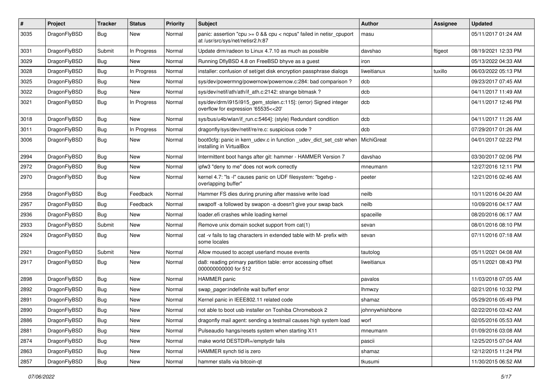| $\sharp$ | Project      | <b>Tracker</b> | <b>Status</b> | <b>Priority</b> | Subject                                                                                                 | <b>Author</b>   | Assignee | <b>Updated</b>      |
|----------|--------------|----------------|---------------|-----------------|---------------------------------------------------------------------------------------------------------|-----------------|----------|---------------------|
| 3035     | DragonFlyBSD | Bug            | New           | Normal          | panic: assertion "cpu >= 0 && cpu < ncpus" failed in netisr_cpuport<br>at /usr/src/sys/net/netisr2.h:87 | masu            |          | 05/11/2017 01:24 AM |
| 3031     | DragonFlyBSD | Submit         | In Progress   | Normal          | Update drm/radeon to Linux 4.7.10 as much as possible                                                   | davshao         | ftigeot  | 08/19/2021 12:33 PM |
| 3029     | DragonFlyBSD | <b>Bug</b>     | New           | Normal          | Running DflyBSD 4.8 on FreeBSD bhyve as a guest                                                         | iron            |          | 05/13/2022 04:33 AM |
| 3028     | DragonFlyBSD | Bug            | In Progress   | Normal          | installer: confusion of set/get disk encryption passphrase dialogs                                      | liweitianux     | tuxillo  | 06/03/2022 05:13 PM |
| 3025     | DragonFlyBSD | <b>Bug</b>     | New           | Normal          | sys/dev/powermng/powernow/powernow.c:284: bad comparison?                                               | dcb             |          | 09/23/2017 07:45 AM |
| 3022     | DragonFlyBSD | <b>Bug</b>     | <b>New</b>    | Normal          | sys/dev/netif/ath/ath/if ath.c:2142: strange bitmask?                                                   | dcb             |          | 04/11/2017 11:49 AM |
| 3021     | DragonFlyBSD | <b>Bug</b>     | In Progress   | Normal          | sys/dev/drm/i915/i915_gem_stolen.c:115]: (error) Signed integer<br>overflow for expression '65535<<20'  | dcb             |          | 04/11/2017 12:46 PM |
| 3018     | DragonFlyBSD | <b>Bug</b>     | New           | Normal          | sys/bus/u4b/wlan/if_run.c:5464]: (style) Redundant condition                                            | dcb             |          | 04/11/2017 11:26 AM |
| 3011     | DragonFlyBSD | <b>Bug</b>     | In Progress   | Normal          | dragonfly/sys/dev/netif/re/re.c: suspicious code?                                                       | dcb             |          | 07/29/2017 01:26 AM |
| 3006     | DragonFlyBSD | <b>Bug</b>     | <b>New</b>    | Normal          | boot0cfg: panic in kern_udev.c in function _udev_dict_set_cstr when<br>installing in VirtualBox         | MichiGreat      |          | 04/01/2017 02:22 PM |
| 2994     | DragonFlyBSD | <b>Bug</b>     | New           | Normal          | Intermittent boot hangs after git: hammer - HAMMER Version 7                                            | davshao         |          | 03/30/2017 02:06 PM |
| 2972     | DragonFlyBSD | <b>Bug</b>     | New           | Normal          | ipfw3 "deny to me" does not work correctly                                                              | mneumann        |          | 12/27/2016 12:11 PM |
| 2970     | DragonFlyBSD | <b>Bug</b>     | <b>New</b>    | Normal          | kernel 4.7: "Is -I" causes panic on UDF filesystem: "bgetvp -<br>overlapping buffer"                    | peeter          |          | 12/21/2016 02:46 AM |
| 2958     | DragonFlyBSD | Bug            | Feedback      | Normal          | Hammer FS dies during pruning after massive write load                                                  | neilb           |          | 10/11/2016 04:20 AM |
| 2957     | DragonFlyBSD | <b>Bug</b>     | Feedback      | Normal          | swapoff -a followed by swapon -a doesn't give your swap back                                            | neilb           |          | 10/09/2016 04:17 AM |
| 2936     | DragonFlyBSD | <b>Bug</b>     | New           | Normal          | loader.efi crashes while loading kernel                                                                 | spaceille       |          | 08/20/2016 06:17 AM |
| 2933     | DragonFlyBSD | Submit         | New           | Normal          | Remove unix domain socket support from cat(1)                                                           | sevan           |          | 08/01/2016 08:10 PM |
| 2924     | DragonFlyBSD | <b>Bug</b>     | New           | Normal          | cat -v fails to tag characters in extended table with M- prefix with<br>some locales                    | sevan           |          | 07/11/2016 07:18 AM |
| 2921     | DragonFlyBSD | Submit         | New           | Normal          | Allow moused to accept userland mouse events                                                            | tautolog        |          | 05/11/2021 04:08 AM |
| 2917     | DragonFlyBSD | Bug            | New           | Normal          | da8: reading primary partition table: error accessing offset<br>000000000000 for 512                    | liweitianux     |          | 05/11/2021 08:43 PM |
| 2898     | DragonFlyBSD | <b>Bug</b>     | <b>New</b>    | Normal          | HAMMER panic                                                                                            | pavalos         |          | 11/03/2018 07:05 AM |
| 2892     | DragonFlyBSD | <b>Bug</b>     | New           | Normal          | swap pager:indefinite wait bufferf error                                                                | lhmwzy          |          | 02/21/2016 10:32 PM |
| 2891     | DragonFlyBSD | Bug            | New           | Normal          | Kernel panic in IEEE802.11 related code                                                                 | shamaz          |          | 05/29/2016 05:49 PM |
| 2890     | DragonFlyBSD | Bug            | <b>New</b>    | Normal          | not able to boot usb installer on Toshiba Chromebook 2                                                  | johnnywhishbone |          | 02/22/2016 03:42 AM |
| 2886     | DragonFlyBSD | Bug            | <b>New</b>    | Normal          | dragonfly mail agent: sending a testmail causes high system load                                        | worf            |          | 02/05/2016 05:53 AM |
| 2881     | DragonFlyBSD | Bug            | New           | Normal          | Pulseaudio hangs/resets system when starting X11                                                        | mneumann        |          | 01/09/2016 03:08 AM |
| 2874     | DragonFlyBSD | <b>Bug</b>     | New           | Normal          | make world DESTDIR=/emptydir fails                                                                      | pascii          |          | 12/25/2015 07:04 AM |
| 2863     | DragonFlyBSD | <b>Bug</b>     | <b>New</b>    | Normal          | HAMMER synch tid is zero                                                                                | shamaz          |          | 12/12/2015 11:24 PM |
| 2857     | DragonFlyBSD | <b>Bug</b>     | New           | Normal          | hammer stalls via bitcoin-qt                                                                            | tkusumi         |          | 11/30/2015 06:52 AM |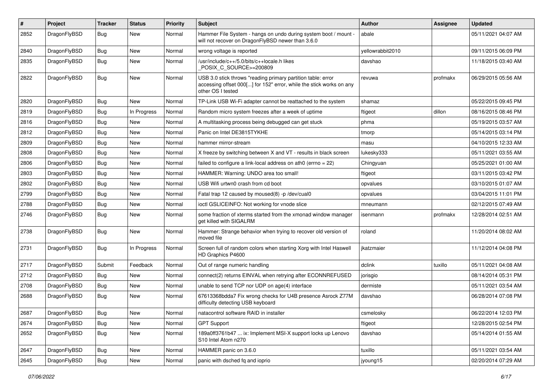| #    | Project      | <b>Tracker</b> | <b>Status</b> | <b>Priority</b> | Subject                                                                                                                                                  | <b>Author</b>    | Assignee | <b>Updated</b>      |
|------|--------------|----------------|---------------|-----------------|----------------------------------------------------------------------------------------------------------------------------------------------------------|------------------|----------|---------------------|
| 2852 | DragonFlyBSD | Bug            | <b>New</b>    | Normal          | Hammer File System - hangs on undo during system boot / mount -<br>will not recover on DragonFlyBSD newer than 3.6.0                                     | abale            |          | 05/11/2021 04:07 AM |
| 2840 | DragonFlyBSD | <b>Bug</b>     | New           | Normal          | wrong voltage is reported                                                                                                                                | yellowrabbit2010 |          | 09/11/2015 06:09 PM |
| 2835 | DragonFlyBSD | <b>Bug</b>     | <b>New</b>    | Normal          | /usr/include/c++/5.0/bits/c++locale.h likes<br>POSIX_C_SOURCE>=200809                                                                                    | davshao          |          | 11/18/2015 03:40 AM |
| 2822 | DragonFlyBSD | Bug            | New           | Normal          | USB 3.0 stick throws "reading primary partition table: error<br>accessing offset 000[] for 152" error, while the stick works on any<br>other OS I tested | revuwa           | profmakx | 06/29/2015 05:56 AM |
| 2820 | DragonFlyBSD | Bug            | <b>New</b>    | Normal          | TP-Link USB Wi-Fi adapter cannot be reattached to the system                                                                                             | shamaz           |          | 05/22/2015 09:45 PM |
| 2819 | DragonFlyBSD | <b>Bug</b>     | In Progress   | Normal          | Random micro system freezes after a week of uptime                                                                                                       | ftigeot          | dillon   | 08/16/2015 08:46 PM |
| 2816 | DragonFlyBSD | <b>Bug</b>     | New           | Normal          | A multitasking process being debugged can get stuck                                                                                                      | phma             |          | 05/19/2015 03:57 AM |
| 2812 | DragonFlyBSD | <b>Bug</b>     | New           | Normal          | Panic on Intel DE3815TYKHE                                                                                                                               | tmorp            |          | 05/14/2015 03:14 PM |
| 2809 | DragonFlyBSD | <b>Bug</b>     | New           | Normal          | hammer mirror-stream                                                                                                                                     | masu             |          | 04/10/2015 12:33 AM |
| 2808 | DragonFlyBSD | <b>Bug</b>     | New           | Normal          | X freeze by switching between X and VT - results in black screen                                                                                         | lukesky333       |          | 05/11/2021 03:55 AM |
| 2806 | DragonFlyBSD | <b>Bug</b>     | New           | Normal          | failed to configure a link-local address on ath0 (errno = 22)                                                                                            | Chingyuan        |          | 05/25/2021 01:00 AM |
| 2803 | DragonFlyBSD | <b>Bug</b>     | New           | Normal          | HAMMER: Warning: UNDO area too small!                                                                                                                    | ftigeot          |          | 03/11/2015 03:42 PM |
| 2802 | DragonFlyBSD | <b>Bug</b>     | New           | Normal          | USB Wifi urtwn0 crash from cd boot                                                                                                                       | opvalues         |          | 03/10/2015 01:07 AM |
| 2799 | DragonFlyBSD | Bug            | <b>New</b>    | Normal          | Fatal trap 12 caused by moused(8) -p/dev/cual0                                                                                                           | opvalues         |          | 03/04/2015 11:01 PM |
| 2788 | DragonFlyBSD | <b>Bug</b>     | New           | Normal          | ioctl GSLICEINFO: Not working for vnode slice                                                                                                            | mneumann         |          | 02/12/2015 07:49 AM |
| 2746 | DragonFlyBSD | <b>Bug</b>     | New           | Normal          | some fraction of xterms started from the xmonad window manager<br>get killed with SIGALRM                                                                | isenmann         | profmakx | 12/28/2014 02:51 AM |
| 2738 | DragonFlyBSD | Bug            | New           | Normal          | Hammer: Strange behavior when trying to recover old version of<br>moved file                                                                             | roland           |          | 11/20/2014 08:02 AM |
| 2731 | DragonFlyBSD | Bug            | In Progress   | Normal          | Screen full of random colors when starting Xorg with Intel Haswell<br>HD Graphics P4600                                                                  | jkatzmaier       |          | 11/12/2014 04:08 PM |
| 2717 | DragonFlyBSD | Submit         | Feedback      | Normal          | Out of range numeric handling                                                                                                                            | dclink           | tuxillo  | 05/11/2021 04:08 AM |
| 2712 | DragonFlyBSD | Bug            | New           | Normal          | connect(2) returns EINVAL when retrying after ECONNREFUSED                                                                                               | jorisgio         |          | 08/14/2014 05:31 PM |
| 2708 | DragonFlyBSD | Bug            | New           | Normal          | unable to send TCP nor UDP on age(4) interface                                                                                                           | dermiste         |          | 05/11/2021 03:54 AM |
| 2688 | DragonFlyBSD | Bug            | New           | Normal          | 67613368bdda7 Fix wrong checks for U4B presence Asrock Z77M<br>difficulty detecting USB keyboard                                                         | davshao          |          | 06/28/2014 07:08 PM |
| 2687 | DragonFlyBSD | Bug            | New           | Normal          | natacontrol software RAID in installer                                                                                                                   | csmelosky        |          | 06/22/2014 12:03 PM |
| 2674 | DragonFlyBSD | Bug            | New           | Normal          | <b>GPT Support</b>                                                                                                                                       | ftigeot          |          | 12/28/2015 02:54 PM |
| 2652 | DragonFlyBSD | Bug            | New           | Normal          | 189a0ff3761b47  ix: Implement MSI-X support locks up Lenovo<br>S10 Intel Atom n270                                                                       | davshao          |          | 05/14/2014 01:55 AM |
| 2647 | DragonFlyBSD | Bug            | New           | Normal          | HAMMER panic on 3.6.0                                                                                                                                    | tuxillo          |          | 05/11/2021 03:54 AM |
| 2645 | DragonFlyBSD | <b>Bug</b>     | New           | Normal          | panic with dsched fq and ioprio                                                                                                                          | jyoung15         |          | 02/20/2014 07:29 AM |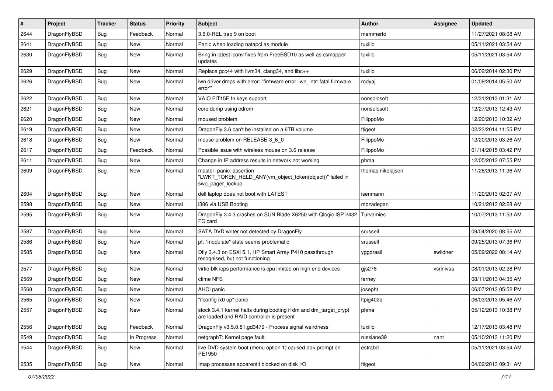| #    | Project      | <b>Tracker</b> | <b>Status</b> | <b>Priority</b> | Subject                                                                                                        | <b>Author</b>     | Assignee  | <b>Updated</b>      |
|------|--------------|----------------|---------------|-----------------|----------------------------------------------------------------------------------------------------------------|-------------------|-----------|---------------------|
| 2644 | DragonFlyBSD | Bug            | Feedback      | Normal          | 3.6.0-REL trap 9 on boot                                                                                       | memmerto          |           | 11/27/2021 08:08 AM |
| 2641 | DragonFlyBSD | <b>Bug</b>     | New           | Normal          | Panic when loading natapci as module                                                                           | tuxillo           |           | 05/11/2021 03:54 AM |
| 2630 | DragonFlyBSD | Bug            | New           | Normal          | Bring in latest iconv fixes from FreeBSD10 as well as csmapper<br>updates                                      | tuxillo           |           | 05/11/2021 03:54 AM |
| 2629 | DragonFlyBSD | Bug            | New           | Normal          | Replace gcc44 with llvm34, clang34, and libc++                                                                 | tuxillo           |           | 06/02/2014 02:30 PM |
| 2626 | DragonFlyBSD | Bug            | New           | Normal          | iwn driver drops with error: "firmware error 'iwn intr: fatal firmware<br>error"                               | rodyaj            |           | 01/09/2014 05:50 AM |
| 2622 | DragonFlyBSD | Bug            | <b>New</b>    | Normal          | VAIO FIT15E fn keys support                                                                                    | nonsolosoft       |           | 12/31/2013 01:31 AM |
| 2621 | DragonFlyBSD | Bug            | New           | Normal          | core dump using cdrom                                                                                          | nonsolosoft       |           | 12/27/2013 12:43 AM |
| 2620 | DragonFlyBSD | Bug            | <b>New</b>    | Normal          | moused problem                                                                                                 | FilippoMo         |           | 12/20/2013 10:32 AM |
| 2619 | DragonFlyBSD | Bug            | New           | Normal          | DragonFly 3.6 can't be installed on a 6TB volume                                                               | ftigeot           |           | 02/23/2014 11:55 PM |
| 2618 | DragonFlyBSD | <b>Bug</b>     | <b>New</b>    | Normal          | mouse problem on RELEASE-3_6_0                                                                                 | FilippoMo         |           | 12/20/2013 03:26 AM |
| 2617 | DragonFlyBSD | <b>Bug</b>     | Feedback      | Normal          | Possible issue with wireless mouse on 3.6 release                                                              | FilippoMo         |           | 01/14/2015 03:42 PM |
| 2611 | DragonFlyBSD | <b>Bug</b>     | New           | Normal          | Change in IP address results in network not working                                                            | phma              |           | 12/05/2013 07:55 PM |
| 2609 | DragonFlyBSD | <b>Bug</b>     | New           | Normal          | master: panic: assertion<br>"LWKT_TOKEN_HELD_ANY(vm_object_token(object))" failed in<br>swp_pager_lookup       | thomas.nikolajsen |           | 11/28/2013 11:36 AM |
| 2604 | DragonFlyBSD | Bug            | <b>New</b>    | Normal          | dell laptop does not boot with LATEST                                                                          | isenmann          |           | 11/20/2013 02:07 AM |
| 2598 | DragonFlyBSD | <b>Bug</b>     | New           | Normal          | i386 via USB Booting                                                                                           | mbzadegan         |           | 10/21/2013 02:28 AM |
| 2595 | DragonFlyBSD | <b>Bug</b>     | <b>New</b>    | Normal          | DragonFly 3.4.3 crashes on SUN Blade X6250 with Qlogic ISP 2432<br>FC card                                     | Turvamies         |           | 10/07/2013 11:53 AM |
| 2587 | DragonFlyBSD | Bug            | New           | Normal          | SATA DVD writer not detected by DragonFly                                                                      | srussell          |           | 09/04/2020 08:55 AM |
| 2586 | DragonFlyBSD | Bug            | New           | Normal          | pf: "modulate" state seems problematic                                                                         | srussell          |           | 09/25/2013 07:36 PM |
| 2585 | DragonFlyBSD | Bug            | New           | Normal          | Dfly 3.4.3 on ESXi 5.1, HP Smart Array P410 passthrough<br>recognised, but not functioning                     | yggdrasil         | swildner  | 05/09/2022 08:14 AM |
| 2577 | DragonFlyBSD | Bug            | <b>New</b>    | Normal          | virtio-blk iops performance is cpu limited on high end devices                                                 | gjs278            | vsrinivas | 08/01/2013 02:28 PM |
| 2569 | DragonFlyBSD | <b>Bug</b>     | New           | Normal          | ctime NFS                                                                                                      | ferney            |           | 08/11/2013 04:35 AM |
| 2568 | DragonFlyBSD | <b>Bug</b>     | New           | Normal          | AHCI panic                                                                                                     | josepht           |           | 06/07/2013 05:52 PM |
| 2565 | DragonFlyBSD | <b>Bug</b>     | New           | Normal          | "ifconfig ix0 up" panic                                                                                        | Itpig402a         |           | 06/03/2013 05:46 AM |
| 2557 | DragonFlyBSD | Bug            | <b>New</b>    | Normal          | stock 3.4.1 kernel halts during booting if dm and dm_target_crypt<br>are loaded and RAID controller is present | phma              |           | 05/12/2013 10:38 PM |
| 2556 | DragonFlyBSD | <b>Bug</b>     | Feedback      | Normal          | DragonFly v3.5.0.81.gd3479 - Process signal weirdness                                                          | tuxillo           |           | 12/17/2013 03:48 PM |
| 2549 | DragonFlyBSD | <b>Bug</b>     | In Progress   | Normal          | netgraph7: Kernel page fault.                                                                                  | russiane39        | nant      | 05/10/2013 11:20 PM |
| 2544 | DragonFlyBSD | <b>Bug</b>     | New           | Normal          | live DVD system boot (menu option 1) caused db> prompt on<br>PE1950                                            | estrabd           |           | 05/11/2021 03:54 AM |
| 2535 | DragonFlyBSD | <b>Bug</b>     | New           | Normal          | Imap processes apparentlt blocked on disk I/O                                                                  | ftigeot           |           | 04/02/2013 09:31 AM |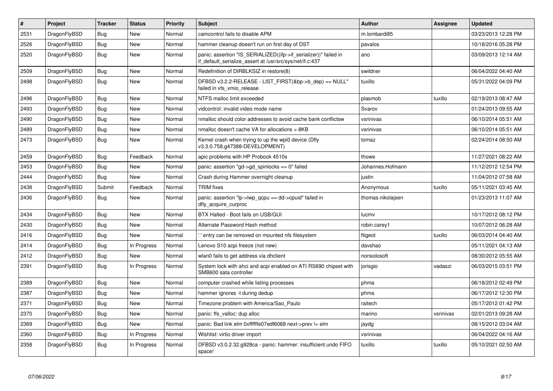| $\vert$ # | Project      | <b>Tracker</b> | <b>Status</b> | <b>Priority</b> | <b>Subject</b>                                                                                                               | <b>Author</b>     | Assignee  | <b>Updated</b>      |
|-----------|--------------|----------------|---------------|-----------------|------------------------------------------------------------------------------------------------------------------------------|-------------------|-----------|---------------------|
| 2531      | DragonFlyBSD | <b>Bug</b>     | <b>New</b>    | Normal          | camcontrol fails to disable APM                                                                                              | m.lombardi85      |           | 03/23/2013 12:28 PM |
| 2526      | DragonFlyBSD | Bug            | New           | Normal          | hammer cleanup doesn't run on first day of DST                                                                               | pavalos           |           | 10/18/2016 05:28 PM |
| 2520      | DragonFlyBSD | <b>Bug</b>     | New           | Normal          | panic: assertion "IS SERIALIZED((ifp->if serializer))" failed in<br>if default serialize assert at /usr/src/sys/net/if.c:437 | ano               |           | 03/09/2013 12:14 AM |
| 2509      | DragonFlyBSD | <b>Bug</b>     | New           | Normal          | Redefinition of DIRBLKSIZ in restore(8)                                                                                      | swildner          |           | 06/04/2022 04:40 AM |
| 2498      | DragonFlyBSD | Bug            | New           | Normal          | DFBSD v3.2.2-RELEASE - LIST_FIRST(&bp->b_dep) == NULL"<br>failed in vfs vmio release                                         | tuxillo           |           | 05/31/2022 04:09 PM |
| 2496      | DragonFlyBSD | <b>Bug</b>     | <b>New</b>    | Normal          | NTFS malloc limit exceeded                                                                                                   | plasmob           | tuxillo   | 02/19/2013 08:47 AM |
| 2493      | DragonFlyBSD | <b>Bug</b>     | New           | Normal          | vidcontrol: invalid video mode name                                                                                          | Svarov            |           | 01/24/2013 09:55 AM |
| 2490      | DragonFlyBSD | <b>Bug</b>     | New           | Normal          | nmalloc should color addresses to avoid cache bank conflictsw                                                                | vsrinivas         |           | 06/10/2014 05:51 AM |
| 2489      | DragonFlyBSD | <b>Bug</b>     | <b>New</b>    | Normal          | nmalloc doesn't cache VA for allocations > 8KB                                                                               | vsrinivas         |           | 06/10/2014 05:51 AM |
| 2473      | DragonFlyBSD | <b>Bug</b>     | New           | Normal          | Kernel crash when trying to up the wpi0 device (Dfly<br>v3.3.0.758.g47388-DEVELOPMENT)                                       | tomaz             |           | 02/24/2014 08:50 AM |
| 2459      | DragonFlyBSD | <b>Bug</b>     | Feedback      | Normal          | apic problems with HP Probook 4510s                                                                                          | thowe             |           | 11/27/2021 08:22 AM |
| 2453      | DragonFlyBSD | <b>Bug</b>     | <b>New</b>    | Normal          | panic: assertion "gd->gd spinlocks == $0$ " failed                                                                           | Johannes.Hofmann  |           | 11/12/2012 12:54 PM |
| 2444      | DragonFlyBSD | <b>Bug</b>     | <b>New</b>    | Normal          | Crash during Hammer overnight cleanup                                                                                        | justin            |           | 11/04/2012 07:58 AM |
| 2438      | DragonFlyBSD | Submit         | Feedback      | Normal          | <b>TRIM</b> fixes                                                                                                            | Anonymous         | tuxillo   | 05/11/2021 03:45 AM |
| 2436      | DragonFlyBSD | <b>Bug</b>     | <b>New</b>    | Normal          | panic: assertion "lp->lwp_qcpu == dd->cpuid" failed in<br>dfly acquire curproc                                               | thomas.nikolajsen |           | 01/23/2013 11:07 AM |
| 2434      | DragonFlyBSD | <b>Bug</b>     | New           | Normal          | BTX Halted - Boot fails on USB/GUI                                                                                           | lucmv             |           | 10/17/2012 08:12 PM |
| 2430      | DragonFlyBSD | <b>Bug</b>     | <b>New</b>    | Normal          | Alternate Password Hash method                                                                                               | robin.carey1      |           | 10/07/2012 06:28 AM |
| 2416      | DragonFlyBSD | <b>Bug</b>     | <b>New</b>    | Normal          | ".' entry can be removed on mounted nfs filesystem                                                                           | ftigeot           | tuxillo   | 06/03/2014 04:40 AM |
| 2414      | DragonFlyBSD | Bug            | In Progress   | Normal          | Lenovo S10 acpi freeze (not new)                                                                                             | davshao           |           | 05/11/2021 04:13 AM |
| 2412      | DragonFlyBSD | <b>Bug</b>     | <b>New</b>    | Normal          | wlan0 fails to get address via dhclient                                                                                      | nonsolosoft       |           | 08/30/2012 05:55 AM |
| 2391      | DragonFlyBSD | Bug            | In Progress   | Normal          | System lock with ahci and acpi enabled on ATI RS690 chipset with<br>SMB600 sata controller                                   | jorisgio          | vadaszi   | 06/03/2015 03:51 PM |
| 2389      | DragonFlyBSD | <b>Bug</b>     | New           | Normal          | computer crashed while listing processes                                                                                     | phma              |           | 06/18/2012 02:49 PM |
| 2387      | DragonFlyBSD | <b>Bug</b>     | <b>New</b>    | Normal          | hammer ignores -t during dedup                                                                                               | phma              |           | 06/17/2012 12:30 PM |
| 2371      | DragonFlyBSD | Bug            | New           | Normal          | Timezone problem with America/Sao Paulo                                                                                      | raitech           |           | 05/17/2012 01:42 PM |
| 2370      | DragonFlyBSD | Bug            | New           | Normal          | panic: ffs valloc: dup alloc                                                                                                 | marino            | vsrinivas | 02/01/2013 09:28 AM |
| 2369      | DragonFlyBSD | Bug            | New           | Normal          | panic: Bad link elm 0xffffffe07edf6068 next->prev != elm                                                                     | jaydg             |           | 08/15/2012 03:04 AM |
| 2360      | DragonFlyBSD | <b>Bug</b>     | In Progress   | Normal          | Wishlist: virtio driver import                                                                                               | vsrinivas         |           | 06/04/2022 04:16 AM |
| 2358      | DragonFlyBSD | Bug            | In Progress   | Normal          | DFBSD v3.0.2.32.g928ca - panic: hammer: insufficient undo FIFO<br>space!                                                     | tuxillo           | tuxillo   | 05/10/2021 02:50 AM |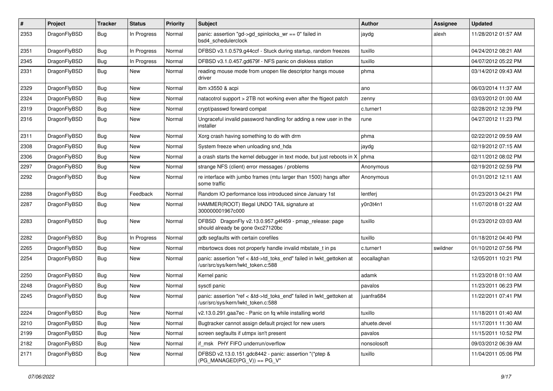| #    | Project      | <b>Tracker</b> | <b>Status</b> | <b>Priority</b> | Subject                                                                                                    | <b>Author</b> | Assignee | <b>Updated</b>      |
|------|--------------|----------------|---------------|-----------------|------------------------------------------------------------------------------------------------------------|---------------|----------|---------------------|
| 2353 | DragonFlyBSD | <b>Bug</b>     | In Progress   | Normal          | panic: assertion "gd->gd_spinlocks_wr == 0" failed in<br>bsd4_schedulerclock                               | jaydg         | alexh    | 11/28/2012 01:57 AM |
| 2351 | DragonFlyBSD | <b>Bug</b>     | In Progress   | Normal          | DFBSD v3.1.0.579.g44ccf - Stuck during startup, random freezes                                             | tuxillo       |          | 04/24/2012 08:21 AM |
| 2345 | DragonFlyBSD | <b>Bug</b>     | In Progress   | Normal          | DFBSD v3.1.0.457.gd679f - NFS panic on diskless station                                                    | tuxillo       |          | 04/07/2012 05:22 PM |
| 2331 | DragonFlyBSD | Bug            | New           | Normal          | reading mouse mode from unopen file descriptor hangs mouse<br>driver                                       | phma          |          | 03/14/2012 09:43 AM |
| 2329 | DragonFlyBSD | <b>Bug</b>     | <b>New</b>    | Normal          | ibm x3550 & acpi                                                                                           | ano           |          | 06/03/2014 11:37 AM |
| 2324 | DragonFlyBSD | <b>Bug</b>     | New           | Normal          | natacotrol support > 2TB not working even after the ftigeot patch                                          | zenny         |          | 03/03/2012 01:00 AM |
| 2319 | DragonFlyBSD | <b>Bug</b>     | New           | Normal          | crypt/passwd forward compat                                                                                | c.turner1     |          | 02/28/2012 12:39 PM |
| 2316 | DragonFlyBSD | Bug            | New           | Normal          | Ungraceful invalid password handling for adding a new user in the<br>installer                             | rune          |          | 04/27/2012 11:23 PM |
| 2311 | DragonFlyBSD | Bug            | New           | Normal          | Xorg crash having something to do with drm                                                                 | phma          |          | 02/22/2012 09:59 AM |
| 2308 | DragonFlyBSD | Bug            | <b>New</b>    | Normal          | System freeze when unloading snd_hda                                                                       | jaydg         |          | 02/19/2012 07:15 AM |
| 2306 | DragonFlyBSD | Bug            | <b>New</b>    | Normal          | a crash starts the kernel debugger in text mode, but just reboots in X                                     | phma          |          | 02/11/2012 08:02 PM |
| 2297 | DragonFlyBSD | Bug            | New           | Normal          | strange NFS (client) error messages / problems                                                             | Anonymous     |          | 02/19/2012 02:59 PM |
| 2292 | DragonFlyBSD | Bug            | <b>New</b>    | Normal          | re interface with jumbo frames (mtu larger than 1500) hangs after<br>some traffic                          | Anonymous     |          | 01/31/2012 12:11 AM |
| 2288 | DragonFlyBSD | Bug            | Feedback      | Normal          | Random IO performance loss introduced since January 1st                                                    | lentferj      |          | 01/23/2013 04:21 PM |
| 2287 | DragonFlyBSD | Bug            | New           | Normal          | HAMMER(ROOT) Illegal UNDO TAIL signature at<br>300000001967c000                                            | y0n3t4n1      |          | 11/07/2018 01:22 AM |
| 2283 | DragonFlyBSD | Bug            | New           | Normal          | DFBSD DragonFly v2.13.0.957.g4f459 - pmap_release: page<br>should already be gone 0xc27120bc               | tuxillo       |          | 01/23/2012 03:03 AM |
| 2282 | DragonFlyBSD | Bug            | In Progress   | Normal          | gdb segfaults with certain corefiles                                                                       | tuxillo       |          | 01/18/2012 04:40 PM |
| 2265 | DragonFlyBSD | Bug            | New           | Normal          | mbsrtowcs does not properly handle invalid mbstate_t in ps                                                 | c.turner1     | swildner | 01/10/2012 07:56 PM |
| 2254 | DragonFlyBSD | Bug            | New           | Normal          | panic: assertion "ref < &td->td_toks_end" failed in lwkt_gettoken at<br>/usr/src/sys/kern/lwkt_token.c:588 | eocallaghan   |          | 12/05/2011 10:21 PM |
| 2250 | DragonFlyBSD | <b>Bug</b>     | New           | Normal          | Kernel panic                                                                                               | adamk         |          | 11/23/2018 01:10 AM |
| 2248 | DragonFlyBSD | Bug            | New           | Normal          | sysctl panic                                                                                               | pavalos       |          | 11/23/2011 06:23 PM |
| 2245 | DragonFlyBSD | Bug            | New           | Normal          | panic: assertion "ref < &td->td_toks_end" failed in lwkt_gettoken at<br>/usr/src/sys/kern/lwkt token.c:588 | juanfra684    |          | 11/22/2011 07:41 PM |
| 2224 | DragonFlyBSD | <b>Bug</b>     | New           | Normal          | v2.13.0.291.gaa7ec - Panic on fq while installing world                                                    | tuxillo       |          | 11/18/2011 01:40 AM |
| 2210 | DragonFlyBSD | Bug            | New           | Normal          | Bugtracker cannot assign default project for new users                                                     | ahuete.devel  |          | 11/17/2011 11:30 AM |
| 2199 | DragonFlyBSD | <b>Bug</b>     | New           | Normal          | screen segfaults if utmpx isn't present                                                                    | pavalos       |          | 11/15/2011 10:52 PM |
| 2182 | DragonFlyBSD | Bug            | <b>New</b>    | Normal          | if msk PHY FIFO underrun/overflow                                                                          | nonsolosoft   |          | 09/03/2012 06:39 AM |
| 2171 | DragonFlyBSD | <b>Bug</b>     | New           | Normal          | DFBSD v2.13.0.151.gdc8442 - panic: assertion "(*ptep &<br>$(PG_MANAGED PG_V)$ == PG_V"                     | tuxillo       |          | 11/04/2011 05:06 PM |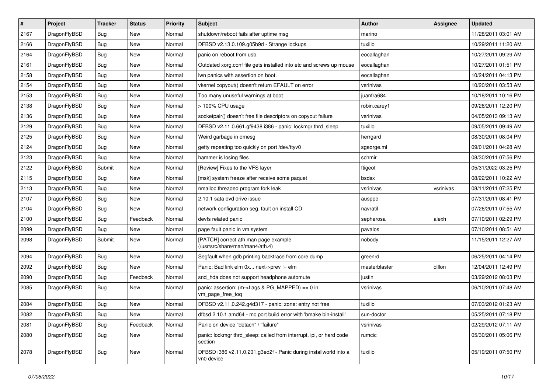| $\vert$ # | Project      | <b>Tracker</b> | <b>Status</b> | <b>Priority</b> | Subject                                                                        | <b>Author</b> | Assignee  | <b>Updated</b>      |
|-----------|--------------|----------------|---------------|-----------------|--------------------------------------------------------------------------------|---------------|-----------|---------------------|
| 2167      | DragonFlyBSD | Bug            | New           | Normal          | shutdown/reboot fails after uptime msg                                         | marino        |           | 11/28/2011 03:01 AM |
| 2166      | DragonFlyBSD | Bug            | New           | Normal          | DFBSD v2.13.0.109.g05b9d - Strange lockups                                     | tuxillo       |           | 10/29/2011 11:20 AM |
| 2164      | DragonFlyBSD | <b>Bug</b>     | New           | Normal          | panic on reboot from usb.                                                      | eocallaghan   |           | 10/27/2011 09:29 AM |
| 2161      | DragonFlyBSD | Bug            | <b>New</b>    | Normal          | Outdated xorg.conf file gets installed into etc and screws up mouse            | eocallaghan   |           | 10/27/2011 01:51 PM |
| 2158      | DragonFlyBSD | Bug            | <b>New</b>    | Normal          | iwn panics with assertion on boot.                                             | eocallaghan   |           | 10/24/2011 04:13 PM |
| 2154      | DragonFlyBSD | <b>Bug</b>     | <b>New</b>    | Normal          | vkernel copyout() doesn't return EFAULT on error                               | vsrinivas     |           | 10/20/2011 03:53 AM |
| 2153      | DragonFlyBSD | Bug            | New           | Normal          | Too many unuseful warnings at boot                                             | juanfra684    |           | 10/18/2011 10:16 PM |
| 2138      | DragonFlyBSD | <b>Bug</b>     | <b>New</b>    | Normal          | > 100% CPU usage                                                               | robin.carey1  |           | 09/26/2011 12:20 PM |
| 2136      | DragonFlyBSD | <b>Bug</b>     | <b>New</b>    | Normal          | socketpair() doesn't free file descriptors on copyout failure                  | vsrinivas     |           | 04/05/2013 09:13 AM |
| 2129      | DragonFlyBSD | Bug            | New           | Normal          | DFBSD v2.11.0.661.gf9438 i386 - panic: lockmgr thrd_sleep                      | tuxillo       |           | 09/05/2011 09:49 AM |
| 2125      | DragonFlyBSD | Bug            | New           | Normal          | Weird garbage in dmesg                                                         | herrgard      |           | 08/30/2011 08:04 PM |
| 2124      | DragonFlyBSD | Bug            | <b>New</b>    | Normal          | getty repeating too quickly on port /dev/ttyv0                                 | sgeorge.ml    |           | 09/01/2011 04:28 AM |
| 2123      | DragonFlyBSD | Bug            | <b>New</b>    | Normal          | hammer is losing files                                                         | schmir        |           | 08/30/2011 07:56 PM |
| 2122      | DragonFlyBSD | Submit         | New           | Normal          | [Review] Fixes to the VFS layer                                                | ftigeot       |           | 05/31/2022 03:25 PM |
| 2115      | DragonFlyBSD | <b>Bug</b>     | New           | Normal          | [msk] system freeze after receive some paquet                                  | bsdsx         |           | 08/22/2011 10:22 AM |
| 2113      | DragonFlyBSD | <b>Bug</b>     | New           | Normal          | nmalloc threaded program fork leak                                             | vsrinivas     | vsrinivas | 08/11/2011 07:25 PM |
| 2107      | DragonFlyBSD | Bug            | <b>New</b>    | Normal          | 2.10.1 sata dvd drive issue                                                    | ausppc        |           | 07/31/2011 08:41 PM |
| 2104      | DragonFlyBSD | <b>Bug</b>     | <b>New</b>    | Normal          | network configuration seg. fault on install CD                                 | navratil      |           | 07/26/2011 07:55 AM |
| 2100      | DragonFlyBSD | Bug            | Feedback      | Normal          | devfs related panic                                                            | sepherosa     | alexh     | 07/10/2011 02:29 PM |
| 2099      | DragonFlyBSD | Bug            | New           | Normal          | page fault panic in vm system                                                  | pavalos       |           | 07/10/2011 08:51 AM |
| 2098      | DragonFlyBSD | Submit         | <b>New</b>    | Normal          | [PATCH] correct ath man page example<br>(/usr/src/share/man/man4/ath.4)        | nobody        |           | 11/15/2011 12:27 AM |
| 2094      | DragonFlyBSD | Bug            | <b>New</b>    | Normal          | Segfault when gdb printing backtrace from core dump                            | greenrd       |           | 06/25/2011 04:14 PM |
| 2092      | DragonFlyBSD | <b>Bug</b>     | New           | Normal          | Panic: Bad link elm 0x next->prev != elm                                       | masterblaster | dillon    | 12/04/2011 12:49 PM |
| 2090      | DragonFlyBSD | Bug            | Feedback      | Normal          | snd_hda does not support headphone automute                                    | justin        |           | 03/29/2012 08:03 PM |
| 2085      | DragonFlyBSD | Bug            | New           | Normal          | panic: assertion: (m->flags & PG_MAPPED) == 0 in<br>vm_page_free_toq           | vsrinivas     |           | 06/10/2011 07:48 AM |
| 2084      | DragonFlyBSD | <b>Bug</b>     | <b>New</b>    | Normal          | DFBSD v2.11.0.242.g4d317 - panic: zone: entry not free                         | tuxillo       |           | 07/03/2012 01:23 AM |
| 2082      | DragonFlyBSD | <b>Bug</b>     | New           | Normal          | dfbsd 2.10.1 amd64 - mc port build error with 'bmake bin-install'              | sun-doctor    |           | 05/25/2011 07:18 PM |
| 2081      | DragonFlyBSD | <b>Bug</b>     | Feedback      | Normal          | Panic on device "detach" / "failure"                                           | vsrinivas     |           | 02/29/2012 07:11 AM |
| 2080      | DragonFlyBSD | <b>Bug</b>     | New           | Normal          | panic: lockmgr thrd_sleep: called from interrupt, ipi, or hard code<br>section | rumcic        |           | 05/30/2011 05:06 PM |
| 2078      | DragonFlyBSD | <b>Bug</b>     | New           | Normal          | DFBSD i386 v2.11.0.201.g3ed2f - Panic during installworld into a<br>vn0 device | tuxillo       |           | 05/19/2011 07:50 PM |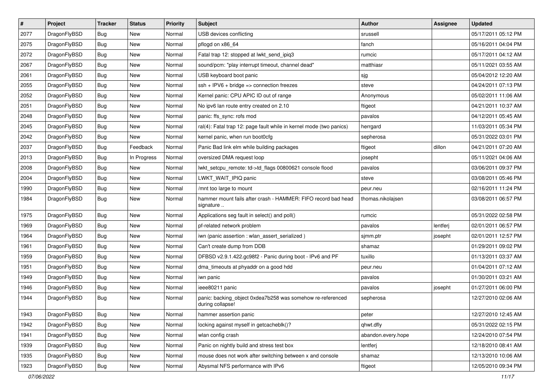| $\sharp$ | Project      | <b>Tracker</b> | <b>Status</b> | <b>Priority</b> | <b>Subject</b>                                                                 | <b>Author</b>      | <b>Assignee</b> | <b>Updated</b>      |
|----------|--------------|----------------|---------------|-----------------|--------------------------------------------------------------------------------|--------------------|-----------------|---------------------|
| 2077     | DragonFlyBSD | Bug            | New           | Normal          | USB devices conflicting                                                        | srussell           |                 | 05/17/2011 05:12 PM |
| 2075     | DragonFlyBSD | Bug            | <b>New</b>    | Normal          | pflogd on x86_64                                                               | fanch              |                 | 05/16/2011 04:04 PM |
| 2072     | DragonFlyBSD | Bug            | <b>New</b>    | Normal          | Fatal trap 12: stopped at lwkt_send_ipiq3                                      | rumcic             |                 | 05/17/2011 04:12 AM |
| 2067     | DragonFlyBSD | <b>Bug</b>     | New           | Normal          | sound/pcm: "play interrupt timeout, channel dead"                              | matthiasr          |                 | 05/11/2021 03:55 AM |
| 2061     | DragonFlyBSD | Bug            | <b>New</b>    | Normal          | USB keyboard boot panic                                                        | sjg                |                 | 05/04/2012 12:20 AM |
| 2055     | DragonFlyBSD | <b>Bug</b>     | New           | Normal          | $ssh + IPV6 + bridge \Rightarrow connection freezes$                           | steve              |                 | 04/24/2011 07:13 PM |
| 2052     | DragonFlyBSD | Bug            | New           | Normal          | Kernel panic: CPU APIC ID out of range                                         | Anonymous          |                 | 05/02/2011 11:06 AM |
| 2051     | DragonFlyBSD | <b>Bug</b>     | <b>New</b>    | Normal          | No ipv6 lan route entry created on 2.10                                        | ftigeot            |                 | 04/21/2011 10:37 AM |
| 2048     | DragonFlyBSD | <b>Bug</b>     | New           | Normal          | panic: ffs_sync: rofs mod                                                      | pavalos            |                 | 04/12/2011 05:45 AM |
| 2045     | DragonFlyBSD | Bug            | <b>New</b>    | Normal          | ral(4): Fatal trap 12: page fault while in kernel mode (two panics)            | herrgard           |                 | 11/03/2011 05:34 PM |
| 2042     | DragonFlyBSD | Bug            | New           | Normal          | kernel panic, when run boot0cfg                                                | sepherosa          |                 | 05/31/2022 03:01 PM |
| 2037     | DragonFlyBSD | <b>Bug</b>     | Feedback      | Normal          | Panic Bad link elm while building packages                                     | ftigeot            | dillon          | 04/21/2011 07:20 AM |
| 2013     | DragonFlyBSD | <b>Bug</b>     | In Progress   | Normal          | oversized DMA request loop                                                     | josepht            |                 | 05/11/2021 04:06 AM |
| 2008     | DragonFlyBSD | Bug            | <b>New</b>    | Normal          | lwkt_setcpu_remote: td->td_flags 00800621 console flood                        | pavalos            |                 | 03/06/2011 09:37 PM |
| 2004     | DragonFlyBSD | <b>Bug</b>     | <b>New</b>    | Normal          | LWKT_WAIT_IPIQ panic                                                           | steve              |                 | 03/08/2011 05:46 PM |
| 1990     | DragonFlyBSD | <b>Bug</b>     | <b>New</b>    | Normal          | /mnt too large to mount                                                        | peur.neu           |                 | 02/16/2011 11:24 PM |
| 1984     | DragonFlyBSD | Bug            | New           | Normal          | hammer mount fails after crash - HAMMER: FIFO record bad head<br>signature     | thomas.nikolajsen  |                 | 03/08/2011 06:57 PM |
| 1975     | DragonFlyBSD | <b>Bug</b>     | New           | Normal          | Applications seg fault in select() and poll()                                  | rumcic             |                 | 05/31/2022 02:58 PM |
| 1969     | DragonFlyBSD | Bug            | <b>New</b>    | Normal          | pf-related network problem                                                     | pavalos            | lentferj        | 02/01/2011 06:57 PM |
| 1964     | DragonFlyBSD | <b>Bug</b>     | New           | Normal          | iwn (panic assertion : wlan assert serialized)                                 | sjmm.ptr           | josepht         | 02/01/2011 12:57 PM |
| 1961     | DragonFlyBSD | Bug            | <b>New</b>    | Normal          | Can't create dump from DDB                                                     | shamaz             |                 | 01/29/2011 09:02 PM |
| 1959     | DragonFlyBSD | <b>Bug</b>     | New           | Normal          | DFBSD v2.9.1.422.gc98f2 - Panic during boot - IPv6 and PF                      | tuxillo            |                 | 01/13/2011 03:37 AM |
| 1951     | DragonFlyBSD | <b>Bug</b>     | New           | Normal          | dma_timeouts at phyaddr on a good hdd                                          | peur.neu           |                 | 01/04/2011 07:12 AM |
| 1949     | DragonFlyBSD | Bug            | <b>New</b>    | Normal          | iwn panic                                                                      | pavalos            |                 | 01/30/2011 03:21 AM |
| 1946     | DragonFlyBSD | Bug            | New           | Normal          | ieee80211 panic                                                                | pavalos            | josepht         | 01/27/2011 06:00 PM |
| 1944     | DragonFlyBSD | Bug            | <b>New</b>    | Normal          | panic: backing object 0xdea7b258 was somehow re-referenced<br>during collapse! | sepherosa          |                 | 12/27/2010 02:06 AM |
| 1943     | DragonFlyBSD | <b>Bug</b>     | New           | Normal          | hammer assertion panic                                                         | peter              |                 | 12/27/2010 12:45 AM |
| 1942     | DragonFlyBSD | <b>Bug</b>     | <b>New</b>    | Normal          | locking against myself in getcacheblk()?                                       | qhwt.dfly          |                 | 05/31/2022 02:15 PM |
| 1941     | DragonFlyBSD | <b>Bug</b>     | <b>New</b>    | Normal          | wlan config crash                                                              | abandon.every.hope |                 | 12/24/2010 07:54 PM |
| 1939     | DragonFlyBSD | <b>Bug</b>     | New           | Normal          | Panic on nightly build and stress test box                                     | lentferj           |                 | 12/18/2010 08:41 AM |
| 1935     | DragonFlyBSD | <b>Bug</b>     | New           | Normal          | mouse does not work after switching between x and console                      | shamaz             |                 | 12/13/2010 10:06 AM |
| 1923     | DragonFlyBSD | <b>Bug</b>     | New           | Normal          | Abysmal NFS performance with IPv6                                              | ftigeot            |                 | 12/05/2010 09:34 PM |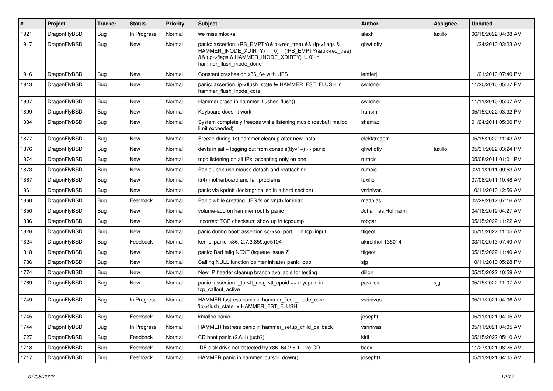| $\sharp$ | Project      | <b>Tracker</b> | <b>Status</b> | <b>Priority</b> | Subject                                                                                                                                                                                           | <b>Author</b>    | Assignee | <b>Updated</b>      |
|----------|--------------|----------------|---------------|-----------------|---------------------------------------------------------------------------------------------------------------------------------------------------------------------------------------------------|------------------|----------|---------------------|
| 1921     | DragonFlyBSD | <b>Bug</b>     | In Progress   | Normal          | we miss mlockall                                                                                                                                                                                  | alexh            | tuxillo  | 06/18/2022 04:08 AM |
| 1917     | DragonFlyBSD | Bug            | New           | Normal          | panic: assertion: (RB_EMPTY(&ip->rec_tree) && (ip->flags &<br>HAMMER_INODE_XDIRTY) == 0)    (!RB_EMPTY(&ip->rec_tree)<br>&& (ip->flags & HAMMER INODE XDIRTY) != 0) in<br>hammer_flush_inode_done | qhwt.dfly        |          | 11/24/2010 03:23 AM |
| 1916     | DragonFlyBSD | <b>Bug</b>     | <b>New</b>    | Normal          | Constant crashes on x86_64 with UFS                                                                                                                                                               | lentferj         |          | 11/21/2010 07:40 PM |
| 1913     | DragonFlyBSD | <b>Bug</b>     | New           | Normal          | panic: assertion: ip->flush state != HAMMER FST FLUSH in<br>hammer_flush_inode_core                                                                                                               | swildner         |          | 11/20/2010 05:27 PM |
| 1907     | DragonFlyBSD | Bug            | New           | Normal          | Hammer crash in hammer flusher flush()                                                                                                                                                            | swildner         |          | 11/11/2010 05:07 AM |
| 1899     | DragonFlyBSD | <b>Bug</b>     | New           | Normal          | Keyboard doesn't work                                                                                                                                                                             | fransm           |          | 05/15/2022 03:32 PM |
| 1884     | DragonFlyBSD | <b>Bug</b>     | <b>New</b>    | Normal          | System completely freezes while listening music (devbuf: malloc<br>limit exceeded)                                                                                                                | shamaz           |          | 01/24/2011 05:00 PM |
| 1877     | DragonFlyBSD | Bug            | <b>New</b>    | Normal          | Freeze during 1st hammer cleanup after new install                                                                                                                                                | elekktretterr    |          | 05/15/2022 11:43 AM |
| 1876     | DragonFlyBSD | <b>Bug</b>     | New           | Normal          | devfs in jail + logging out from console(ttyv1+) -> panic                                                                                                                                         | qhwt.dfly        | tuxillo  | 05/31/2022 03:24 PM |
| 1874     | DragonFlyBSD | <b>Bug</b>     | New           | Normal          | mpd listening on all IPs, accepting only on one                                                                                                                                                   | rumcic           |          | 05/08/2011 01:01 PM |
| 1873     | DragonFlyBSD | <b>Bug</b>     | <b>New</b>    | Normal          | Panic upon usb mouse detach and reattaching                                                                                                                                                       | rumcic           |          | 02/01/2011 09:53 AM |
| 1867     | DragonFlyBSD | <b>Bug</b>     | New           | Normal          | it(4) motherboard and fan problems                                                                                                                                                                | tuxillo          |          | 07/08/2011 10:48 AM |
| 1861     | DragonFlyBSD | <b>Bug</b>     | <b>New</b>    | Normal          | panic via kprintf (lockmgr called in a hard section)                                                                                                                                              | vsrinivas        |          | 10/11/2010 12:56 AM |
| 1860     | DragonFlyBSD | <b>Bug</b>     | Feedback      | Normal          | Panic while creating UFS fs on vn(4) for initrd                                                                                                                                                   | matthias         |          | 02/29/2012 07:16 AM |
| 1850     | DragonFlyBSD | <b>Bug</b>     | <b>New</b>    | Normal          | volume-add on hammer root fs panic                                                                                                                                                                | Johannes.Hofmann |          | 04/18/2019 04:27 AM |
| 1836     | DragonFlyBSD | Bug            | New           | Normal          | Incorrect TCP checksum show up in tcpdump                                                                                                                                                         | robgar1          |          | 05/15/2022 11:22 AM |
| 1826     | DragonFlyBSD | <b>Bug</b>     | New           | Normal          | panic during boot: assertion so->so port  in tcp input                                                                                                                                            | ftigeot          |          | 05/15/2022 11:05 AM |
| 1824     | DragonFlyBSD | <b>Bug</b>     | Feedback      | Normal          | kernel panic, x86, 2.7.3.859.ge5104                                                                                                                                                               | akirchhoff135014 |          | 03/10/2013 07:49 AM |
| 1818     | DragonFlyBSD | Bug            | New           | Normal          | panic: Bad tailq NEXT (kqueue issue ?)                                                                                                                                                            | ftigeot          |          | 05/15/2022 11:40 AM |
| 1786     | DragonFlyBSD | <b>Bug</b>     | New           | Normal          | Calling NULL function pointer initiates panic loop                                                                                                                                                | sjg              |          | 10/11/2010 05:28 PM |
| 1774     | DragonFlyBSD | <b>Bug</b>     | New           | Normal          | New IP header cleanup branch available for testing                                                                                                                                                | dillon           |          | 05/15/2022 10:59 AM |
| 1769     | DragonFlyBSD | <b>Bug</b>     | New           | Normal          | panic: assertion: _tp->tt_msg->tt_cpuid == mycpuid in<br>tcp_callout_active                                                                                                                       | pavalos          | sjg      | 05/15/2022 11:07 AM |
| 1749     | DragonFlyBSD | <b>Bug</b>     | In Progress   | Normal          | HAMMER fsstress panic in hammer_flush_inode_core<br>'ip->flush_state != HAMMER_FST_FLUSH'                                                                                                         | vsrinivas        |          | 05/11/2021 04:06 AM |
| 1745     | DragonFlyBSD | <b>Bug</b>     | Feedback      | Normal          | kmalloc panic                                                                                                                                                                                     | josepht          |          | 05/11/2021 04:05 AM |
| 1744     | DragonFlyBSD | <b>Bug</b>     | In Progress   | Normal          | HAMMER fsstress panic in hammer_setup_child_callback                                                                                                                                              | vsrinivas        |          | 05/11/2021 04:05 AM |
| 1727     | DragonFlyBSD | <b>Bug</b>     | Feedback      | Normal          | CD boot panic (2.6.1) (usb?)                                                                                                                                                                      | kiril            |          | 05/15/2022 05:10 AM |
| 1718     | DragonFlyBSD | <b>Bug</b>     | Feedback      | Normal          | IDE disk drive not detected by x86_64 2.6.1 Live CD                                                                                                                                               | bcox             |          | 11/27/2021 08:25 AM |
| 1717     | DragonFlyBSD | <b>Bug</b>     | Feedback      | Normal          | HAMMER panic in hammer_cursor_down()                                                                                                                                                              | josepht1         |          | 05/11/2021 04:05 AM |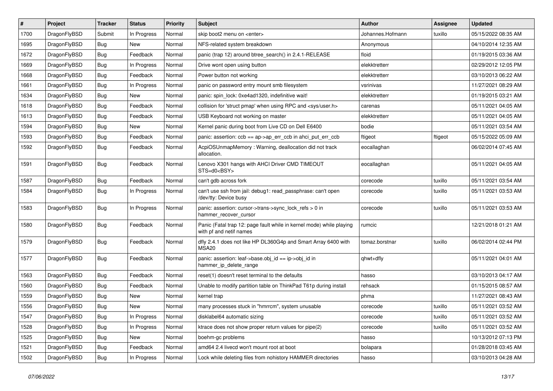| #    | Project      | <b>Tracker</b> | <b>Status</b> | <b>Priority</b> | Subject                                                                                         | <b>Author</b>    | <b>Assignee</b> | <b>Updated</b>      |
|------|--------------|----------------|---------------|-----------------|-------------------------------------------------------------------------------------------------|------------------|-----------------|---------------------|
| 1700 | DragonFlyBSD | Submit         | In Progress   | Normal          | skip boot2 menu on <enter></enter>                                                              | Johannes.Hofmann | tuxillo         | 05/15/2022 08:35 AM |
| 1695 | DragonFlyBSD | <b>Bug</b>     | New           | Normal          | NFS-related system breakdown                                                                    | Anonymous        |                 | 04/10/2014 12:35 AM |
| 1672 | DragonFlyBSD | <b>Bug</b>     | Feedback      | Normal          | panic (trap 12) around btree search() in 2.4.1-RELEASE                                          | floid            |                 | 01/19/2015 03:36 AM |
| 1669 | DragonFlyBSD | <b>Bug</b>     | In Progress   | Normal          | Drive wont open using button                                                                    | elekktretterr    |                 | 02/29/2012 12:05 PM |
| 1668 | DragonFlyBSD | <b>Bug</b>     | Feedback      | Normal          | Power button not working                                                                        | elekktretterr    |                 | 03/10/2013 06:22 AM |
| 1661 | DragonFlyBSD | <b>Bug</b>     | In Progress   | Normal          | panic on password entry mount smb filesystem                                                    | vsrinivas        |                 | 11/27/2021 08:29 AM |
| 1634 | DragonFlyBSD | <b>Bug</b>     | <b>New</b>    | Normal          | panic: spin_lock: 0xe4ad1320, indefinitive wait!                                                | elekktretterr    |                 | 01/19/2015 03:21 AM |
| 1618 | DragonFlyBSD | <b>Bug</b>     | Feedback      | Normal          | collision for 'struct pmap' when using RPC and <sys user.h=""></sys>                            | carenas          |                 | 05/11/2021 04:05 AM |
| 1613 | DragonFlyBSD | <b>Bug</b>     | Feedback      | Normal          | USB Keyboard not working on master                                                              | elekktretterr    |                 | 05/11/2021 04:05 AM |
| 1594 | DragonFlyBSD | <b>Bug</b>     | New           | Normal          | Kernel panic during boot from Live CD on Dell E6400                                             | bodie            |                 | 05/11/2021 03:54 AM |
| 1593 | DragonFlyBSD | <b>Bug</b>     | Feedback      | Normal          | panic: assertion: $ccb == ap$ ap- $\geq$ err $ccb$ in ahci put err $ccb$                        | ftigeot          | ftigeot         | 05/15/2022 05:09 AM |
| 1592 | DragonFlyBSD | <b>Bug</b>     | Feedback      | Normal          | AcpiOSUnmapMemory: Warning, deallocation did not track<br>allocation.                           | eocallaghan      |                 | 06/02/2014 07:45 AM |
| 1591 | DragonFlyBSD | <b>Bug</b>     | Feedback      | Normal          | Lenovo X301 hangs with AHCI Driver CMD TIMEOUT<br>STS=d0 <bsy></bsy>                            | eocallaghan      |                 | 05/11/2021 04:05 AM |
| 1587 | DragonFlyBSD | <b>Bug</b>     | Feedback      | Normal          | can't gdb across fork                                                                           | corecode         | tuxillo         | 05/11/2021 03:54 AM |
| 1584 | DragonFlyBSD | <b>Bug</b>     | In Progress   | Normal          | can't use ssh from jail: debug1: read_passphrase: can't open<br>/dev/tty: Device busy           | corecode         | tuxillo         | 05/11/2021 03:53 AM |
| 1583 | DragonFlyBSD | <b>Bug</b>     | In Progress   | Normal          | panic: assertion: cursor->trans->sync_lock_refs > 0 in<br>hammer_recover_cursor                 | corecode         | tuxillo         | 05/11/2021 03:53 AM |
| 1580 | DragonFlyBSD | Bug            | Feedback      | Normal          | Panic (Fatal trap 12: page fault while in kernel mode) while playing<br>with pf and netif names | rumcic           |                 | 12/21/2018 01:21 AM |
| 1579 | DragonFlyBSD | Bug            | Feedback      | Normal          | dfly 2.4.1 does not like HP DL360G4p and Smart Array 6400 with<br>MSA20                         | tomaz.borstnar   | tuxillo         | 06/02/2014 02:44 PM |
| 1577 | DragonFlyBSD | Bug            | Feedback      | Normal          | panic: assertion: leaf->base.obj_id == ip->obj_id in<br>hammer ip delete range                  | qhwt+dfly        |                 | 05/11/2021 04:01 AM |
| 1563 | DragonFlyBSD | <b>Bug</b>     | Feedback      | Normal          | reset(1) doesn't reset terminal to the defaults                                                 | hasso            |                 | 03/10/2013 04:17 AM |
| 1560 | DragonFlyBSD | <b>Bug</b>     | Feedback      | Normal          | Unable to modify partition table on ThinkPad T61p during install                                | rehsack          |                 | 01/15/2015 08:57 AM |
| 1559 | DragonFlyBSD | Bug            | <b>New</b>    | Normal          | kernel trap                                                                                     | phma             |                 | 11/27/2021 08:43 AM |
| 1556 | DragonFlyBSD | Bug            | New           | Normal          | many processes stuck in "hmrrcm", system unusable                                               | corecode         | tuxillo         | 05/11/2021 03:52 AM |
| 1547 | DragonFlyBSD | <b>Bug</b>     | In Progress   | Normal          | disklabel64 automatic sizing                                                                    | corecode         | tuxillo         | 05/11/2021 03:52 AM |
| 1528 | DragonFlyBSD | <b>Bug</b>     | In Progress   | Normal          | ktrace does not show proper return values for pipe(2)                                           | corecode         | tuxillo         | 05/11/2021 03:52 AM |
| 1525 | DragonFlyBSD | <b>Bug</b>     | New           | Normal          | boehm-gc problems                                                                               | hasso            |                 | 10/13/2012 07:13 PM |
| 1521 | DragonFlyBSD | <b>Bug</b>     | Feedback      | Normal          | amd64 2.4 livecd won't mount root at boot                                                       | bolapara         |                 | 01/28/2018 03:45 AM |
| 1502 | DragonFlyBSD | <b>Bug</b>     | In Progress   | Normal          | Lock while deleting files from nohistory HAMMER directories                                     | hasso            |                 | 03/10/2013 04:28 AM |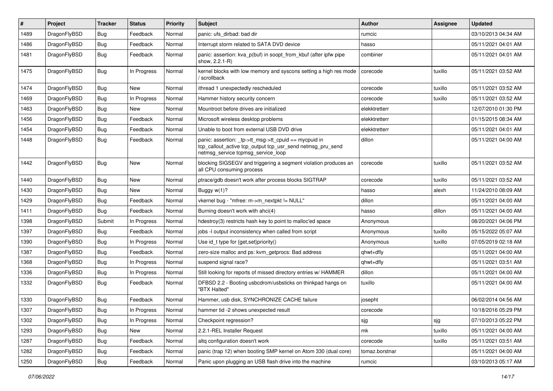| #    | Project      | <b>Tracker</b> | <b>Status</b> | <b>Priority</b> | Subject                                                                                                                                                   | <b>Author</b>  | Assignee | <b>Updated</b>      |
|------|--------------|----------------|---------------|-----------------|-----------------------------------------------------------------------------------------------------------------------------------------------------------|----------------|----------|---------------------|
| 1489 | DragonFlyBSD | <b>Bug</b>     | Feedback      | Normal          | panic: ufs_dirbad: bad dir                                                                                                                                | rumcic         |          | 03/10/2013 04:34 AM |
| 1486 | DragonFlyBSD | <b>Bug</b>     | Feedback      | Normal          | Interrupt storm related to SATA DVD device                                                                                                                | hasso          |          | 05/11/2021 04:01 AM |
| 1481 | DragonFlyBSD | Bug            | Feedback      | Normal          | panic: assertion: kva p(buf) in soopt from kbuf (after ipfw pipe<br>show, 2.2.1-R)                                                                        | combiner       |          | 05/11/2021 04:01 AM |
| 1475 | DragonFlyBSD | <b>Bug</b>     | In Progress   | Normal          | kernel blocks with low memory and syscons setting a high res mode<br>/ scrollback                                                                         | corecode       | tuxillo  | 05/11/2021 03:52 AM |
| 1474 | DragonFlyBSD | Bug            | <b>New</b>    | Normal          | ithread 1 unexpectedly rescheduled                                                                                                                        | corecode       | tuxillo  | 05/11/2021 03:52 AM |
| 1469 | DragonFlyBSD | <b>Bug</b>     | In Progress   | Normal          | Hammer history security concern                                                                                                                           | corecode       | tuxillo  | 05/11/2021 03:52 AM |
| 1463 | DragonFlyBSD | <b>Bug</b>     | <b>New</b>    | Normal          | Mountroot before drives are initialized                                                                                                                   | elekktretterr  |          | 12/07/2010 01:30 PM |
| 1456 | DragonFlyBSD | Bug            | Feedback      | Normal          | Microsoft wireless desktop problems                                                                                                                       | elekktretterr  |          | 01/15/2015 08:34 AM |
| 1454 | DragonFlyBSD | <b>Bug</b>     | Feedback      | Normal          | Unable to boot from external USB DVD drive                                                                                                                | elekktretterr  |          | 05/11/2021 04:01 AM |
| 1448 | DragonFlyBSD | <b>Bug</b>     | Feedback      | Normal          | panic: assertion: _tp->tt_msg->tt_cpuid == mycpuid in<br>tcp_callout_active tcp_output tcp_usr_send netmsg_pru_send<br>netmsg service tcpmsg service loop | dillon         |          | 05/11/2021 04:00 AM |
| 1442 | DragonFlyBSD | Bug            | New           | Normal          | blocking SIGSEGV and triggering a segment violation produces an<br>all CPU consuming process                                                              | corecode       | tuxillo  | 05/11/2021 03:52 AM |
| 1440 | DragonFlyBSD | Bug            | <b>New</b>    | Normal          | ptrace/gdb doesn't work after process blocks SIGTRAP                                                                                                      | corecode       | tuxillo  | 05/11/2021 03:52 AM |
| 1430 | DragonFlyBSD | Bug            | New           | Normal          | Buggy $w(1)$ ?                                                                                                                                            | hasso          | alexh    | 11/24/2010 08:09 AM |
| 1429 | DragonFlyBSD | Bug            | Feedback      | Normal          | vkernel bug - "mfree: m->m_nextpkt != NULL"                                                                                                               | dillon         |          | 05/11/2021 04:00 AM |
| 1411 | DragonFlyBSD | Bug            | Feedback      | Normal          | Burning doesn't work with ahci(4)                                                                                                                         | hasso          | dillon   | 05/11/2021 04:00 AM |
| 1398 | DragonFlyBSD | Submit         | In Progress   | Normal          | hdestroy(3) restricts hash key to point to malloc'ed space                                                                                                | Anonymous      |          | 08/20/2021 04:06 PM |
| 1397 | DragonFlyBSD | Bug            | Feedback      | Normal          | jobs -I output inconsistency when called from script                                                                                                      | Anonymous      | tuxillo  | 05/15/2022 05:07 AM |
| 1390 | DragonFlyBSD | Bug            | In Progress   | Normal          | Use id_t type for {get,set}priority()                                                                                                                     | Anonymous      | tuxillo  | 07/05/2019 02:18 AM |
| 1387 | DragonFlyBSD | Bug            | Feedback      | Normal          | zero-size malloc and ps: kvm getprocs: Bad address                                                                                                        | qhwt+dfly      |          | 05/11/2021 04:00 AM |
| 1368 | DragonFlyBSD | Bug            | In Progress   | Normal          | suspend signal race?                                                                                                                                      | qhwt+dfly      |          | 05/11/2021 03:51 AM |
| 1336 | DragonFlyBSD | Bug            | In Progress   | Normal          | Still looking for reports of missed directory entries w/ HAMMER                                                                                           | dillon         |          | 05/11/2021 04:00 AM |
| 1332 | DragonFlyBSD | Bug            | Feedback      | Normal          | DFBSD 2.2 - Booting usbcdrom/usbsticks on thinkpad hangs on<br>"BTX Halted"                                                                               | tuxillo        |          | 05/11/2021 04:00 AM |
| 1330 | DragonFlyBSD | Bug            | Feedback      | Normal          | Hammer, usb disk, SYNCHRONIZE CACHE failure                                                                                                               | josepht        |          | 06/02/2014 04:56 AM |
| 1307 | DragonFlyBSD | Bug            | In Progress   | Normal          | hammer tid -2 shows unexpected result                                                                                                                     | corecode       |          | 10/18/2016 05:29 PM |
| 1302 | DragonFlyBSD | <b>Bug</b>     | In Progress   | Normal          | Checkpoint regression?                                                                                                                                    | sjg            | sjg      | 07/10/2013 05:22 PM |
| 1293 | DragonFlyBSD | <b>Bug</b>     | New           | Normal          | 2.2.1-REL Installer Request                                                                                                                               | mk             | tuxillo  | 05/11/2021 04:00 AM |
| 1287 | DragonFlyBSD | Bug            | Feedback      | Normal          | altq configuration doesn't work                                                                                                                           | corecode       | tuxillo  | 05/11/2021 03:51 AM |
| 1282 | DragonFlyBSD | <b>Bug</b>     | Feedback      | Normal          | panic (trap 12) when booting SMP kernel on Atom 330 (dual core)                                                                                           | tomaz.borstnar |          | 05/11/2021 04:00 AM |
| 1250 | DragonFlyBSD | <b>Bug</b>     | Feedback      | Normal          | Panic upon plugging an USB flash drive into the machine                                                                                                   | rumcic         |          | 03/10/2013 05:17 AM |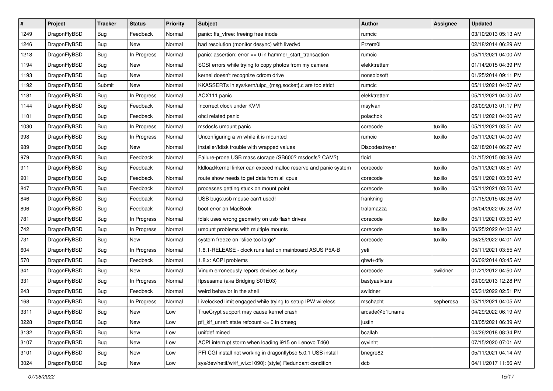| $\sharp$ | Project      | <b>Tracker</b> | <b>Status</b> | <b>Priority</b> | Subject                                                          | <b>Author</b>   | Assignee  | <b>Updated</b>      |
|----------|--------------|----------------|---------------|-----------------|------------------------------------------------------------------|-----------------|-----------|---------------------|
| 1249     | DragonFlyBSD | Bug            | Feedback      | Normal          | panic: ffs_vfree: freeing free inode                             | rumcic          |           | 03/10/2013 05:13 AM |
| 1246     | DragonFlyBSD | Bug            | <b>New</b>    | Normal          | bad resolution (monitor desync) with livedvd                     | Przem0l         |           | 02/18/2014 06:29 AM |
| 1218     | DragonFlyBSD | Bug            | In Progress   | Normal          | panic: assertion: error == 0 in hammer_start_transaction         | rumcic          |           | 05/11/2021 04:00 AM |
| 1194     | DragonFlyBSD | <b>Bug</b>     | New           | Normal          | SCSI errors while trying to copy photos from my camera           | elekktretterr   |           | 01/14/2015 04:39 PM |
| 1193     | DragonFlyBSD | Bug            | <b>New</b>    | Normal          | kernel doesn't recognize cdrom drive                             | nonsolosoft     |           | 01/25/2014 09:11 PM |
| 1192     | DragonFlyBSD | Submit         | New           | Normal          | KKASSERTs in sys/kern/uipc_{msg,socket}.c are too strict         | rumcic          |           | 05/11/2021 04:07 AM |
| 1181     | DragonFlyBSD | Bug            | In Progress   | Normal          | ACX111 panic                                                     | elekktretterr   |           | 05/11/2021 04:00 AM |
| 1144     | DragonFlyBSD | Bug            | Feedback      | Normal          | Incorrect clock under KVM                                        | msylvan         |           | 03/09/2013 01:17 PM |
| 1101     | DragonFlyBSD | <b>Bug</b>     | Feedback      | Normal          | ohci related panic                                               | polachok        |           | 05/11/2021 04:00 AM |
| 1030     | DragonFlyBSD | Bug            | In Progress   | Normal          | msdosfs umount panic                                             | corecode        | tuxillo   | 05/11/2021 03:51 AM |
| 998      | DragonFlyBSD | Bug            | In Progress   | Normal          | Unconfiguring a vn while it is mounted                           | rumcic          | tuxillo   | 05/11/2021 04:00 AM |
| 989      | DragonFlyBSD | <b>Bug</b>     | <b>New</b>    | Normal          | installer/fdisk trouble with wrapped values                      | Discodestroyer  |           | 02/18/2014 06:27 AM |
| 979      | DragonFlyBSD | <b>Bug</b>     | Feedback      | Normal          | Failure-prone USB mass storage (SB600? msdosfs? CAM?)            | floid           |           | 01/15/2015 08:38 AM |
| 911      | DragonFlyBSD | Bug            | Feedback      | Normal          | kldload/kernel linker can exceed malloc reserve and panic system | corecode        | tuxillo   | 05/11/2021 03:51 AM |
| 901      | DragonFlyBSD | Bug            | Feedback      | Normal          | route show needs to get data from all cpus                       | corecode        | tuxillo   | 05/11/2021 03:50 AM |
| 847      | DragonFlyBSD | <b>Bug</b>     | Feedback      | Normal          | processes getting stuck on mount point                           | corecode        | tuxillo   | 05/11/2021 03:50 AM |
| 846      | DragonFlyBSD | <b>Bug</b>     | Feedback      | Normal          | USB bugs:usb mouse can't used!                                   | frankning       |           | 01/15/2015 08:36 AM |
| 806      | DragonFlyBSD | Bug            | Feedback      | Normal          | boot error on MacBook                                            | tralamazza      |           | 06/04/2022 05:28 AM |
| 781      | DragonFlyBSD | <b>Bug</b>     | In Progress   | Normal          | fdisk uses wrong geometry on usb flash drives                    | corecode        | tuxillo   | 05/11/2021 03:50 AM |
| 742      | DragonFlyBSD | Bug            | In Progress   | Normal          | umount problems with multiple mounts                             | corecode        | tuxillo   | 06/25/2022 04:02 AM |
| 731      | DragonFlyBSD | Bug            | New           | Normal          | system freeze on "slice too large"                               | corecode        | tuxillo   | 06/25/2022 04:01 AM |
| 604      | DragonFlyBSD | <b>Bug</b>     | In Progress   | Normal          | 1.8.1-RELEASE - clock runs fast on mainboard ASUS P5A-B          | yeti            |           | 05/11/2021 03:55 AM |
| 570      | DragonFlyBSD | Bug            | Feedback      | Normal          | 1.8.x: ACPI problems                                             | qhwt+dfly       |           | 06/02/2014 03:45 AM |
| 341      | DragonFlyBSD | <b>Bug</b>     | New           | Normal          | Vinum erroneously repors devices as busy                         | corecode        | swildner  | 01/21/2012 04:50 AM |
| 331      | DragonFlyBSD | Bug            | In Progress   | Normal          | ftpsesame (aka Bridging S01E03)                                  | bastyaelvtars   |           | 03/09/2013 12:28 PM |
| 243      | DragonFlyBSD | Bug            | Feedback      | Normal          | weird behavior in the shell                                      | swildner        |           | 05/31/2022 02:51 PM |
| 168      | DragonFlyBSD | Bug            | In Progress   | Normal          | Livelocked limit engaged while trying to setup IPW wireless      | mschacht        | sepherosa | 05/11/2021 04:05 AM |
| 3311     | DragonFlyBSD | <b>Bug</b>     | New           | Low             | TrueCrypt support may cause kernel crash                         | arcade@b1t.name |           | 04/29/2022 06:19 AM |
| 3228     | DragonFlyBSD | Bug            | New           | Low             | pfi kif unref: state refcount $\leq$ 0 in dmesg                  | justin          |           | 03/05/2021 06:39 AM |
| 3132     | DragonFlyBSD | <b>Bug</b>     | New           | Low             | unifdef mined                                                    | bcallah         |           | 04/26/2018 08:34 PM |
| 3107     | DragonFlyBSD | <b>Bug</b>     | <b>New</b>    | Low             | ACPI interrupt storm when loading i915 on Lenovo T460            | oyvinht         |           | 07/15/2020 07:01 AM |
| 3101     | DragonFlyBSD | <b>Bug</b>     | New           | Low             | PFI CGI install not working in dragonflybsd 5.0.1 USB install    | bnegre82        |           | 05/11/2021 04:14 AM |
| 3024     | DragonFlyBSD | <b>Bug</b>     | New           | Low             | sys/dev/netif/wi/if_wi.c:1090]: (style) Redundant condition      | dcb             |           | 04/11/2017 11:56 AM |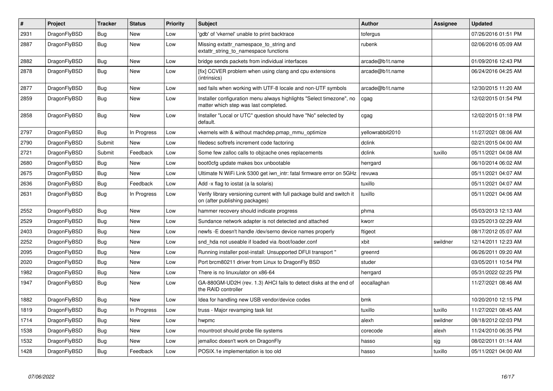| $\vert$ # | Project      | <b>Tracker</b> | <b>Status</b> | <b>Priority</b> | <b>Subject</b>                                                                                                | <b>Author</b>    | Assignee | <b>Updated</b>      |
|-----------|--------------|----------------|---------------|-----------------|---------------------------------------------------------------------------------------------------------------|------------------|----------|---------------------|
| 2931      | DragonFlyBSD | <b>Bug</b>     | <b>New</b>    | Low             | 'gdb' of 'vkernel' unable to print backtrace                                                                  | tofergus         |          | 07/26/2016 01:51 PM |
| 2887      | DragonFlyBSD | Bug            | New           | Low             | Missing extattr_namespace_to_string and<br>extattr_string_to_namespace functions                              | rubenk           |          | 02/06/2016 05:09 AM |
| 2882      | DragonFlyBSD | <b>Bug</b>     | New           | Low             | bridge sends packets from individual interfaces                                                               | arcade@b1t.name  |          | 01/09/2016 12:43 PM |
| 2878      | DragonFlyBSD | <b>Bug</b>     | New           | Low             | [fix] CCVER problem when using clang and cpu extensions<br>(intrinsics)                                       | arcade@b1t.name  |          | 06/24/2016 04:25 AM |
| 2877      | DragonFlyBSD | <b>Bug</b>     | <b>New</b>    | Low             | sed fails when working with UTF-8 locale and non-UTF symbols                                                  | arcade@b1t.name  |          | 12/30/2015 11:20 AM |
| 2859      | DragonFlyBSD | <b>Bug</b>     | New           | Low             | Installer configuration menu always highlights "Select timezone", no<br>matter which step was last completed. | cgag             |          | 12/02/2015 01:54 PM |
| 2858      | DragonFlyBSD | Bug            | New           | Low             | Installer "Local or UTC" question should have "No" selected by<br>default.                                    | cgag             |          | 12/02/2015 01:18 PM |
| 2797      | DragonFlyBSD | <b>Bug</b>     | In Progress   | Low             | vkernels with & without machdep.pmap_mmu_optimize                                                             | yellowrabbit2010 |          | 11/27/2021 08:06 AM |
| 2790      | DragonFlyBSD | Submit         | <b>New</b>    | Low             | filedesc softrefs increment code factoring                                                                    | dclink           |          | 02/21/2015 04:00 AM |
| 2721      | DragonFlyBSD | Submit         | Feedback      | Low             | Some few zalloc calls to objcache ones replacements                                                           | dclink           | tuxillo  | 05/11/2021 04:08 AM |
| 2680      | DragonFlyBSD | <b>Bug</b>     | <b>New</b>    | Low             | boot0cfg update makes box unbootable                                                                          | herrgard         |          | 06/10/2014 06:02 AM |
| 2675      | DragonFlyBSD | <b>Bug</b>     | New           | Low             | Ultimate N WiFi Link 5300 get iwn_intr: fatal firmware error on 5GHz                                          | revuwa           |          | 05/11/2021 04:07 AM |
| 2636      | DragonFlyBSD | <b>Bug</b>     | Feedback      | Low             | Add -x flag to iostat (a la solaris)                                                                          | tuxillo          |          | 05/11/2021 04:07 AM |
| 2631      | DragonFlyBSD | <b>Bug</b>     | In Progress   | Low             | Verify library versioning current with full package build and switch it<br>on (after publishing packages)     | tuxillo          |          | 05/11/2021 04:06 AM |
| 2552      | DragonFlyBSD | <b>Bug</b>     | <b>New</b>    | Low             | hammer recovery should indicate progress                                                                      | phma             |          | 05/03/2013 12:13 AM |
| 2529      | DragonFlyBSD | Bug            | New           | Low             | Sundance network adapter is not detected and attached                                                         | kworr            |          | 03/25/2013 02:29 AM |
| 2403      | DragonFlyBSD | <b>Bug</b>     | <b>New</b>    | Low             | newfs -E doesn't handle /dev/serno device names properly                                                      | ftigeot          |          | 08/17/2012 05:07 AM |
| 2252      | DragonFlyBSD | Bug            | New           | Low             | snd hda not useable if loaded via /boot/loader.conf                                                           | xbit             | swildner | 12/14/2011 12:23 AM |
| 2095      | DragonFlyBSD | <b>Bug</b>     | <b>New</b>    | Low             | Running installer post-install: Unsupported DFUI transport "                                                  | greenrd          |          | 06/26/2011 09:20 AM |
| 2020      | DragonFlyBSD | Bug            | <b>New</b>    | Low             | Port brcm80211 driver from Linux to DragonFly BSD                                                             | studer           |          | 03/05/2011 10:54 PM |
| 1982      | DragonFlyBSD | <b>Bug</b>     | <b>New</b>    | Low             | There is no linuxulator on x86-64                                                                             | herrgard         |          | 05/31/2022 02:25 PM |
| 1947      | DragonFlyBSD | <b>Bug</b>     | New           | Low             | GA-880GM-UD2H (rev. 1.3) AHCI fails to detect disks at the end of<br>the RAID controller                      | eocallaghan      |          | 11/27/2021 08:46 AM |
| 1882      | DragonFlyBSD | <b>Bug</b>     | <b>New</b>    | Low             | Idea for handling new USB vendor/device codes                                                                 | bmk              |          | 10/20/2010 12:15 PM |
| 1819      | DragonFlyBSD | <b>Bug</b>     | In Progress   | Low             | truss - Major revamping task list                                                                             | tuxillo          | tuxillo  | 11/27/2021 08:45 AM |
| 1714      | DragonFlyBSD | Bug            | New           | Low             | hwpmc                                                                                                         | alexh            | swildner | 08/18/2012 02:03 PM |
| 1538      | DragonFlyBSD | Bug            | <b>New</b>    | Low             | mountroot should probe file systems                                                                           | corecode         | alexh    | 11/24/2010 06:35 PM |
| 1532      | DragonFlyBSD | Bug            | New           | Low             | jemalloc doesn't work on DragonFly                                                                            | hasso            | sjg      | 08/02/2011 01:14 AM |
| 1428      | DragonFlyBSD | Bug            | Feedback      | Low             | POSIX.1e implementation is too old                                                                            | hasso            | tuxillo  | 05/11/2021 04:00 AM |